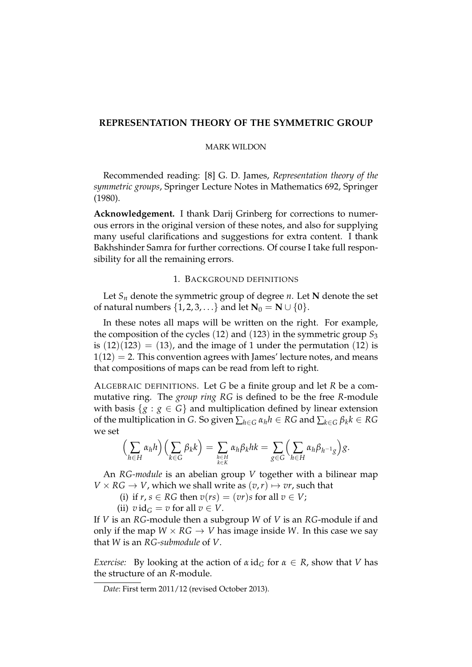## **REPRESENTATION THEORY OF THE SYMMETRIC GROUP**

### MARK WILDON

Recommended reading: [8] G. D. James, *Representation theory of the symmetric groups*, Springer Lecture Notes in Mathematics 692, Springer (1980).

**Acknowledgement.** I thank Darij Grinberg for corrections to numerous errors in the original version of these notes, and also for supplying many useful clarifications and suggestions for extra content. I thank Bakhshinder Samra for further corrections. Of course I take full responsibility for all the remaining errors.

#### 1. BACKGROUND DEFINITIONS

Let  $S_n$  denote the symmetric group of degree *n*. Let **N** denote the set of natural numbers  $\{1, 2, 3, ...\}$  and let  $N_0 = N \cup \{0\}$ .

In these notes all maps will be written on the right. For example, the composition of the cycles  $(12)$  and  $(123)$  in the symmetric group  $S_3$ is  $(12)(123) = (13)$ , and the image of 1 under the permutation  $(12)$  is  $1(12) = 2$ . This convention agrees with James' lecture notes, and means that compositions of maps can be read from left to right.

ALGEBRAIC DEFINITIONS. Let *G* be a finite group and let *R* be a commutative ring. The *group ring RG* is defined to be the free *R*-module with basis  ${g : g \in G}$  and multiplication defined by linear extension of the multiplication in *G*. So given  $\sum_{h \in G} \alpha_h h \in RG$  and  $\sum_{k \in G} \beta_k k \in RG$ we set

$$
\left(\sum_{h\in H}\alpha_h h\right)\left(\sum_{k\in G}\beta_k k\right)=\sum_{\substack{h\in H\\k\in K}}\alpha_h\beta_k hk=\sum_{g\in G}\left(\sum_{h\in H}\alpha_h\beta_{h^{-1}g}\right)g.
$$

An *RG-module* is an abelian group *V* together with a bilinear map  $V \times RG \rightarrow V$ , which we shall write as  $(v, r) \mapsto vr$ , such that

(i) if  $r, s \in RG$  then  $v(rs) = (vr)s$  for all  $v \in V$ ;

(ii)  $v \, \mathrm{id}_G = v \text{ for all } v \in V$ .

If *V* is an *RG*-module then a subgroup *W* of *V* is an *RG*-module if and only if the map  $W \times RG \rightarrow V$  has image inside *W*. In this case we say that *W* is an *RG-submodule* of *V*.

*Exercise:* By looking at the action of  $\alpha$  id<sub>*G*</sub> for  $\alpha \in R$ , show that *V* has the structure of an *R*-module.

*Date*: First term 2011/12 (revised October 2013).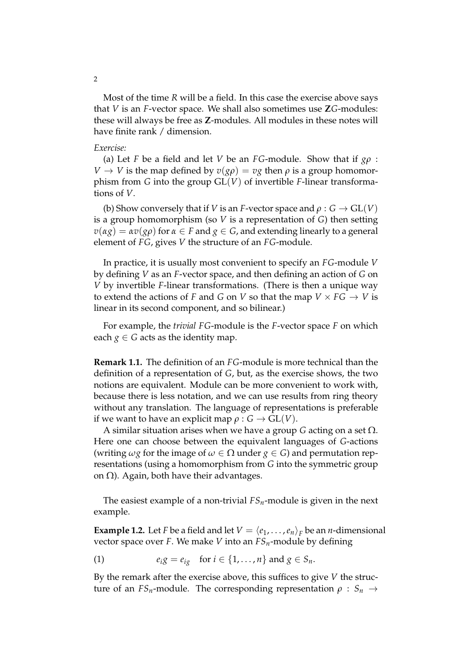Most of the time *R* will be a field. In this case the exercise above says that *V* is an *F*-vector space. We shall also sometimes use **Z***G*-modules: these will always be free as **Z**-modules. All modules in these notes will have finite rank / dimension.

### *Exercise:*

(a) Let *F* be a field and let *V* be an *FG*-module. Show that if *gρ* : *V*  $\rightarrow$  *V* is the map defined by  $v(g\rho) = v g$  then  $\rho$  is a group homomorphism from *G* into the group GL(*V*) of invertible *F*-linear transformations of *V*.

(b) Show conversely that if *V* is an *F*-vector space and  $\rho : G \to GL(V)$ is a group homomorphism (so *V* is a representation of *G*) then setting  $v(\alpha g) = \alpha v(g\rho)$  for  $\alpha \in F$  and  $g \in G$ , and extending linearly to a general element of *FG*, gives *V* the structure of an *FG*-module.

In practice, it is usually most convenient to specify an *FG*-module *V* by defining *V* as an *F*-vector space, and then defining an action of *G* on *V* by invertible *F*-linear transformations. (There is then a unique way to extend the actions of *F* and *G* on *V* so that the map  $V \times FG \rightarrow V$  is linear in its second component, and so bilinear.)

For example, the *trivial FG*-module is the *F*-vector space *F* on which each  $g \in G$  acts as the identity map.

**Remark 1.1.** The definition of an *FG*-module is more technical than the definition of a representation of *G*, but, as the exercise shows, the two notions are equivalent. Module can be more convenient to work with, because there is less notation, and we can use results from ring theory without any translation. The language of representations is preferable if we want to have an explicit map  $\rho : G \to GL(V)$ .

A similar situation arises when we have a group *G* acting on a set  $\Omega$ . Here one can choose between the equivalent languages of *G*-actions (writing  $\omega g$  for the image of  $\omega \in \Omega$  under  $g \in G$ ) and permutation representations (using a homomorphism from *G* into the symmetric group on  $\Omega$ ). Again, both have their advantages.

The easiest example of a non-trivial *FSn*-module is given in the next example.

**Example 1.2.** Let *F* be a field and let  $V = \langle e_1, \ldots, e_n \rangle_F$  be an *n*-dimensional vector space over *F*. We make *V* into an *FSn*-module by defining

(1) 
$$
e_i g = e_{ig} \quad \text{for } i \in \{1, ..., n\} \text{ and } g \in S_n.
$$

By the remark after the exercise above, this suffices to give *V* the structure of an *FS*<sub>*n*</sub>-module. The corresponding representation  $\rho : S_n \rightarrow$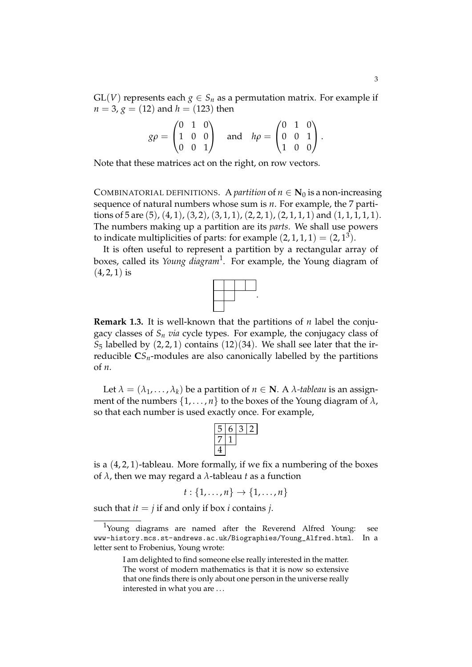$GL(V)$  represents each  $g \in S_n$  as a permutation matrix. For example if  $n = 3$ ,  $g = (12)$  and  $h = (123)$  then

| $g\rho = \begin{pmatrix} 0 & 1 & 0 \\ 1 & 0 & 0 \\ 0 & 0 & 1 \end{pmatrix}$ |  |  |                                                                                   |  |  |
|-----------------------------------------------------------------------------|--|--|-----------------------------------------------------------------------------------|--|--|
|                                                                             |  |  | and $h\rho = \begin{pmatrix} 0 & 1 & 0 \\ 0 & 0 & 1 \\ 1 & 0 & 0 \end{pmatrix}$ . |  |  |

Note that these matrices act on the right, on row vectors.

COMBINATORIAL DEFINITIONS. A *partition* of  $n \in N_0$  is a non-increasing sequence of natural numbers whose sum is *n*. For example, the 7 partitions of 5 are  $(5)$ ,  $(4, 1)$ ,  $(3, 2)$ ,  $(3, 1, 1)$ ,  $(2, 2, 1)$ ,  $(2, 1, 1, 1)$  and  $(1, 1, 1, 1, 1)$ . The numbers making up a partition are its *parts*. We shall use powers to indicate multiplicities of parts: for example  $(2, 1, 1, 1) = (2, 1^3)$ .

It is often useful to represent a partition by a rectangular array of boxes, called its *Young diagram*<sup>1</sup> . For example, the Young diagram of  $(4, 2, 1)$  is



.

**Remark 1.3.** It is well-known that the partitions of *n* label the conjugacy classes of  $S_n$  *via* cycle types. For example, the conjugacy class of  $S_5$  labelled by  $(2, 2, 1)$  contains  $(12)(34)$ . We shall see later that the irreducible  $CS_n$ -modules are also canonically labelled by the partitions of *n*.

Let  $\lambda = (\lambda_1, \dots, \lambda_k)$  be a partition of  $n \in \mathbb{N}$ . A  $\lambda$ *-tableau* is an assignment of the numbers  $\{1, \ldots, n\}$  to the boxes of the Young diagram of  $\lambda$ , so that each number is used exactly once. For example,

is a (4, 2, 1)-tableau. More formally, if we fix a numbering of the boxes of *λ*, then we may regard a *λ*-tableau *t* as a function

$$
t: \{1,\ldots,n\} \to \{1,\ldots,n\}
$$

such that  $it = j$  if and only if box *i* contains *j*.

<sup>&</sup>lt;sup>1</sup>Young diagrams are named after the Reverend Alfred Young: see www-history.mcs.st-andrews.ac.uk/Biographies/Young\_Alfred.html. In a letter sent to Frobenius, Young wrote:

I am delighted to find someone else really interested in the matter. The worst of modern mathematics is that it is now so extensive that one finds there is only about one person in the universe really interested in what you are . . .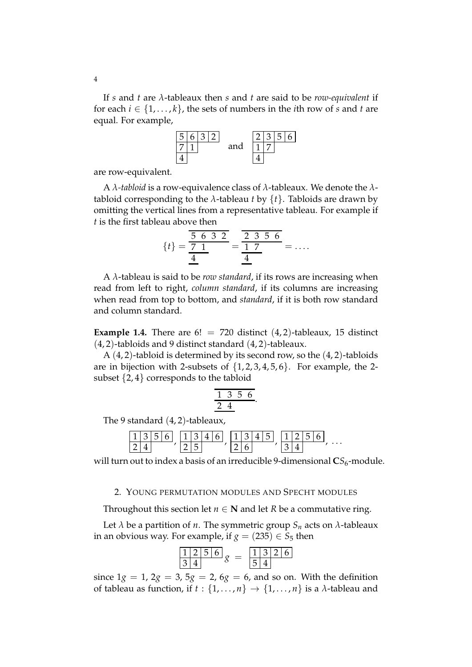If *s* and *t* are *λ*-tableaux then *s* and *t* are said to be *row-equivalent* if for each  $i \in \{1, \ldots, k\}$ , the sets of numbers in the *i*th row of *s* and *t* are equal. For example,



are row-equivalent.

A *λ-tabloid* is a row-equivalence class of *λ*-tableaux. We denote the *λ*tabloid corresponding to the  $\lambda$ -tableau *t* by  $\{t\}$ . Tabloids are drawn by omitting the vertical lines from a representative tableau. For example if *t* is the first tableau above then

$$
\{t\} = \frac{\frac{5}{5} \cdot 6 \cdot 3 \cdot 2}{\frac{4}{4}} = \frac{\frac{2}{5} \cdot 3 \cdot 5 \cdot 6}{\frac{4}{4}} = \dots
$$

A *λ*-tableau is said to be *row standard*, if its rows are increasing when read from left to right, *column standard*, if its columns are increasing when read from top to bottom, and *standard*, if it is both row standard and column standard.

**Example 1.4.** There are  $6! = 720$  distinct  $(4, 2)$ -tableaux, 15 distinct  $(4, 2)$ -tabloids and 9 distinct standard  $(4, 2)$ -tableaux.

A  $(4, 2)$ -tabloid is determined by its second row, so the  $(4, 2)$ -tabloids are in bijection with 2-subsets of  $\{1, 2, 3, 4, 5, 6\}$ . For example, the 2subset  $\{2, 4\}$  corresponds to the tabloid

$$
\frac{1\ 3\ 5\ 6}{2\ 4}
$$

The 9 standard (4, 2)-tableaux,

|  |  | $\mathbf{1}$ |  |  | 11 | $\mathbf{1}$ | $\mathsf{E}$ 1 |  |  |  |          |
|--|--|--------------|--|--|----|--------------|----------------|--|--|--|----------|
|  |  |              |  |  |    |              |                |  |  |  | $\cdots$ |

will turn out to index a basis of an irreducible 9-dimensional  $CS_6$ -module.

## 2. YOUNG PERMUTATION MODULES AND SPECHT MODULES

Throughout this section let  $n \in \mathbb{N}$  and let *R* be a commutative ring.

Let  $\lambda$  be a partition of *n*. The symmetric group  $S_n$  acts on  $\lambda$ -tableaux in an obvious way. For example, if  $g = (235) \in S_5$  then

$$
\frac{1}{3} \frac{2}{4} \frac{5}{8} = \frac{1}{5} \frac{3}{4} \frac{2}{6}
$$

since  $1g = 1$ ,  $2g = 3$ ,  $5g = 2$ ,  $6g = 6$ , and so on. With the definition of tableau as function, if  $t : \{1, \ldots, n\} \rightarrow \{1, \ldots, n\}$  is a  $\lambda$ -tableau and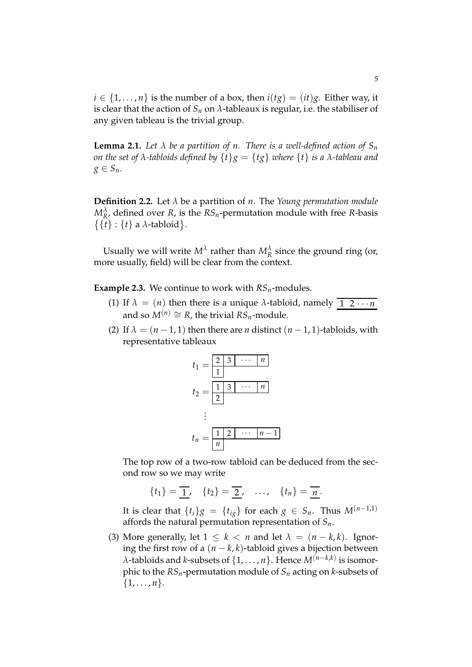$i \in \{1, \ldots, n\}$  is the number of a box, then  $i(tg) = (it)g$ . Either way, it is clear that the action of  $S_n$  on  $\lambda$ -tableaux is regular, i.e. the stabiliser of any given tableau is the trivial group.

**Lemma 2.1.** Let  $\lambda$  be a partition of n. There is a well-defined action of  $S_n$ *on the set of λ-tabloids defined by*  $\{t\}g = \{tg\}$  *where*  $\{t\}$  *is a λ-tableau and*  $g \in S_n$ .

**Definition 2.2.** Let *λ* be a partition of *n*. The *Young permutation module*  $M_R^{\lambda}$ , defined over *R*, is the  $RS_n$ -permutation module with free *R*-basis  $\{\{t\} : \{t\}$  a  $\lambda$ -tabloid.

Usually we will write  $M^{\lambda}$  rather than  $M^{\lambda}_R$  since the ground ring (or, more usually, field) will be clear from the context.

**Example 2.3.** We continue to work with  $RS_n$ -modules.

- (1) If  $\lambda = (n)$  then there is a unique  $\lambda$ -tabloid, namely  $\boxed{1 \ 2 \cdots n}$ and so  $M^{(n)} \cong R$ , the trivial  $RS_n$ -module.
- (2) If  $\lambda = (n-1, 1)$  then there are *n* distinct  $(n-1, 1)$ -tabloids, with representative tableaux



The top row of a two-row tabloid can be deduced from the second row so we may write

$$
\{t_1\}=\overline{1},\quad \{t_2\}=\overline{2},\quad \ldots,\quad \{t_n\}=\overline{n}.
$$

It is clear that  $\{t_i\}g = \{t_{ig}\}\$  for each  $g \in S_n$ . Thus  $M^{(n-1,1)}$ affords the natural permutation representation of *Sn*.

(3) More generally, let  $1 \leq k < n$  and let  $\lambda = (n - k, k)$ . Ignoring the first row of a  $(n - k, k)$ -tabloid gives a bijection between *λ*-tabloids and *k*-subsets of {1, . . . , *n*}. Hence *M*(*n*−*k*,*k*) is isomorphic to the *RSn*-permutation module of *S<sup>n</sup>* acting on *k*-subsets of  $\{1, \ldots, n\}.$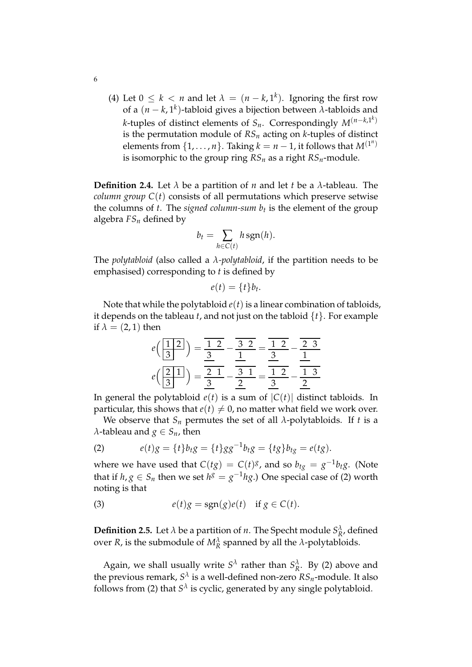(4) Let  $0 \leq k < n$  and let  $\lambda = (n - k, 1^k)$ . Ignoring the first row of a (*n* − *k*, 1*<sup>k</sup>* )-tabloid gives a bijection between *λ*-tabloids and *k*-tuples of distinct elements of *Sn*. Correspondingly *M*(*n*−*k*,1*<sup>k</sup>* ) is the permutation module of  $RS_n$  acting on *k*-tuples of distinct elements from  $\{1, \ldots, n\}$ . Taking  $k = n - 1$ , it follows that  $M^{(1^n)}$ is isomorphic to the group ring  $RS_n$  as a right  $RS_n$ -module.

**Definition 2.4.** Let *λ* be a partition of *n* and let *t* be a *λ*-tableau. The *column group*  $C(t)$  consists of all permutations which preserve setwise the columns of *t*. The *signed column-sum b<sup>t</sup>* is the element of the group algebra *FS<sup>n</sup>* defined by

$$
b_t = \sum_{h \in C(t)} h \operatorname{sgn}(h).
$$

The *polytabloid* (also called a *λ-polytabloid*, if the partition needs to be emphasised) corresponding to *t* is defined by

$$
e(t) = \{t\}b_t.
$$

Note that while the polytabloid  $e(t)$  is a linear combination of tabloids, it depends on the tableau *t*, and not just on the tabloid {*t*}. For example if  $\lambda = (2, 1)$  then

$$
e\left(\frac{1}{3}\right) = \frac{1}{3}\left(1}{3}\right) = \frac{1}{3}\left(1}{3}\right) = \frac{1}{3}\left(1}{3}\right) = \frac{1}{3}\left(1}{3}\right) = \frac{1}{3}\left(1}{3}\right) = \frac{1}{3}\left(1}{3}\right) = \frac{1}{3}\left(1}{3}\right) = \frac{1}{3}\left(1}{3}\right) = \frac{1}{3}\left(1}{3}\right) = \frac{1}{3}\left(1}{3}\right) = \frac{1}{3}\left(1}{3}\right) = \frac{1}{3}\left(1}{3}\right) = \frac{1}{3}\left(1}{3}\right) = \frac{1}{3}\left(1}{3}\right) = \frac{1}{3}\left(1}{3}\right) = \frac{1}{3}\left(1}{3}\right) = \frac{1}{3}\left(1}{3}\right) = \frac{1}{3}\left(1}{3}\right) = \frac{1}{3}\left(1}{3}\right) = \frac{1}{3}\left(1}{3}\right) = \frac{1}{3}\left(1}{3}\right) = \frac{1}{3}\left(1}{3}\right) = \frac{1}{3}\left(1}{3}\right) = \frac{1}{3}\left(1}{3}\right) = \frac{1}{3}\left(1}{3}\right) = \frac{1}{3}\left(1}{3}\right) = \frac{1}{3}\left(1}{3}\right) = \frac{1}{3}\left(1}{3}\right) = \frac{1}{3}\left(1}{3}\right) = \frac{1}{3}\left(1}{3}\right) = \frac{1}{3}\left(1}{3}\right) = \frac{1}{3}\left(1}{3}\right) = \frac{1}{3}\left(1}{3}\right) = \frac{1}{3}\left(1}{3}\right) = \frac{1}{3}\left(1}{3}\right) = \frac{1}{3}\left(1}{3}\right) = \frac{1}{3}\left(1}{3}\right) = \frac{1}{3}\left(1}{3}\right) = \frac{1}{3}\left(1}{3}\right) = \frac{1}{3}\left(1}{3}\right) = \frac{1}{3}\left(1}{3}\right) = \frac{1}{3}\left(1}{3}\right) = \frac{1}{3}\left(1}{3}\right) = \frac{1}{3}\left(1}{3}\right) = \frac{1}{3}\left(1}{3}\right) = \frac{1}{3}\left(1}{3}\right) = \frac{1}{3}\left(1
$$

In general the polytabloid  $e(t)$  is a sum of  $|C(t)|$  distinct tabloids. In particular, this shows that  $e(t) \neq 0$ , no matter what field we work over.

We observe that  $S_n$  permutes the set of all  $\lambda$ -polytabloids. If *t* is a *λ*-tableau and *g* ∈ *S<sub><i>n*</sub></sub>, then

(2) 
$$
e(t)g = \{t\}b_tg = \{t\}gg^{-1}b_tg = \{tg\}b_{tg} = e(tg).
$$

where we have used that  $C(tg) = C(t)^g$ , and so  $b_{tg} = g^{-1}b_{tg}$ . (Note that if  $h, g \in S_n$  then we set  $h^g = g^{-1} h g$ .) One special case of (2) worth noting is that

(3) 
$$
e(t)g = sgn(g)e(t) \text{ if } g \in C(t).
$$

**Definition 2.5.** Let  $\lambda$  be a partition of *n*. The Specht module  $S^{\lambda}_{R}$ , defined over *R*, is the submodule of  $M_R^{\lambda}$  spanned by all the *λ*-polytabloids.

Again, we shall usually write  $S^{\lambda}$  rather than  $S^{\lambda}_R$ . By (2) above and the previous remark, *S λ* is a well-defined non-zero *RSn*-module. It also follows from (2) that  $S^{\lambda}$  is cyclic, generated by any single polytabloid.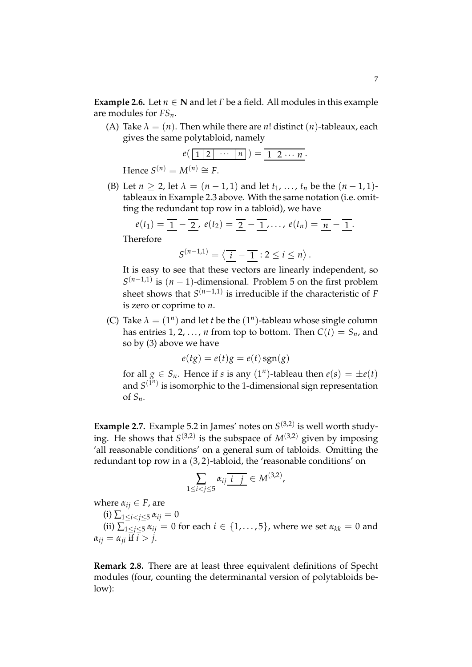**Example 2.6.** Let  $n \in \mathbb{N}$  and let *F* be a field. All modules in this example are modules for *FSn*.

(A) Take  $\lambda = (n)$ . Then while there are *n*! distinct  $(n)$ -tableaux, each gives the same polytabloid, namely

$$
e\left(\boxed{1\ 2\ \cdots\ \mid n\mid}\right)=\frac{1\ 2\ \cdots\ n}{1\ 2\ \cdots\ n}.
$$
  
Hence  $S^{(n)}=M^{(n)}\cong F$ .

(B) Let  $n > 2$ , let  $\lambda = (n-1,1)$  and let  $t_1, ..., t_n$  be the  $(n-1,1)$ tableaux in Example 2.3 above. With the same notation (i.e. omitting the redundant top row in a tabloid), we have

$$
e(t_1) = \underline{1} - \underline{2}, \, e(t_2) = \underline{2} - \underline{1}, \ldots, \, e(t_n) = \underline{n} - \underline{1}.
$$

Therefore

$$
S^{(n-1,1)}=\left\langle \overline{\underline{i}}-\overline{\underline{1}}\right\rangle:2\leq i\leq n\right\rangle.
$$

It is easy to see that these vectors are linearly independent, so  $S^{(n-1,1)}$  is  $(n-1)$ -dimensional. Problem 5 on the first problem sheet shows that *S* (*n*−1,1) is irreducible if the characteristic of *F* is zero or coprime to *n*.

(C) Take  $\lambda = (1^n)$  and let *t* be the  $(1^n)$ -tableau whose single column has entries 1, 2, ..., *n* from top to bottom. Then  $C(t) = S_n$ , and so by (3) above we have

$$
e(tg) = e(t)g = e(t)sgn(g)
$$

for all  $g \in S_n$ . Hence if *s* is any  $(1^n)$ -tableau then  $e(s) = \pm e(t)$ and  $S^{(\tilde{1}^n)}$  is isomorphic to the 1-dimensional sign representation of *Sn*.

**Example 2.7.** Example 5.2 in James' notes on  $S^{(3,2)}$  is well worth studying. He shows that  $S^{(3,2)}$  is the subspace of  $M^{(3,2)}$  given by imposing 'all reasonable conditions' on a general sum of tabloids. Omitting the redundant top row in a (3, 2)-tabloid, the 'reasonable conditions' on

$$
\sum_{1 \le i < j \le 5} \alpha_{ij} \overline{i \, j \,} \in M^{(3,2)},
$$

where 
$$
\alpha_{ij} \in F
$$
, are

(i)  $\sum_{1 \le i \le j \le 5} \alpha_{ij} = 0$ 

(ii)  $\sum_{1 \le i \le 5}^7 \alpha_{ij} = 0$  for each  $i \in \{1, \ldots, 5\}$ , where we set  $\alpha_{kk} = 0$  and  $\alpha_{ii} = \alpha_{ii}$  if  $i > j$ .

**Remark 2.8.** There are at least three equivalent definitions of Specht modules (four, counting the determinantal version of polytabloids below):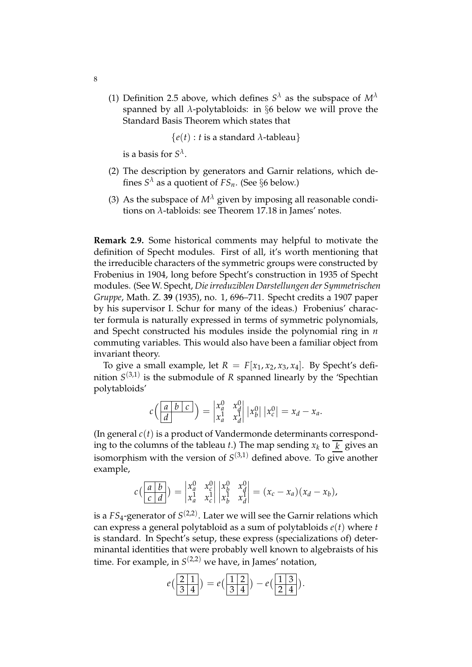(1) Definition 2.5 above, which defines  $S^{\lambda}$  as the subspace of  $M^{\lambda}$ spanned by all *λ*-polytabloids: in §6 below we will prove the Standard Basis Theorem which states that

 ${e(t): t$  is a standard  $\lambda$ -tableau  $\}$ 

is a basis for  $S^{\lambda}$ .

- (2) The description by generators and Garnir relations, which defines  $S^{\lambda}$  as a quotient of  $FS_n$ . (See  $\S6$  below.)
- (3) As the subspace of  $M^{\lambda}$  given by imposing all reasonable conditions on *λ*-tabloids: see Theorem 17.18 in James' notes.

**Remark 2.9.** Some historical comments may helpful to motivate the definition of Specht modules. First of all, it's worth mentioning that the irreducible characters of the symmetric groups were constructed by Frobenius in 1904, long before Specht's construction in 1935 of Specht modules. (See W. Specht, *Die irreduziblen Darstellungen der Symmetrischen Gruppe*, Math. Z. **39** (1935), no. 1, 696–711. Specht credits a 1907 paper by his supervisor I. Schur for many of the ideas.) Frobenius' character formula is naturally expressed in terms of symmetric polynomials, and Specht constructed his modules inside the polynomial ring in *n* commuting variables. This would also have been a familiar object from invariant theory.

To give a small example, let  $R = F[x_1, x_2, x_3, x_4]$ . By Specht's definition  $S^{(3,1)}$  is the submodule of *R* spanned linearly by the 'Spechtian polytabloids'

$$
c\left(\begin{array}{c|c} a & b & c \ \hline d & c \end{array}\right) = \begin{vmatrix} x_a^0 & x_d^0 \\ x_a^1 & x_d^1 \end{vmatrix} |x_b^0| |x_c^0| = x_d - x_a.
$$

(In general *c*(*t*) is a product of Vandermonde determinants corresponding to the columns of the tableau *t*.) The map sending  $x_k$  to  $\overline{k}$  gives an isomorphism with the version of  $S^{(3,1)}$  defined above. To give another example,

$$
c\left(\begin{array}{c|c} a & b \\ c & d \end{array}\right) = \begin{vmatrix} x_a^0 & x_c^0 \\ x_a^1 & x_c^1 \end{vmatrix} \begin{vmatrix} x_b^0 & x_d^0 \\ x_b^1 & x_d^1 \end{vmatrix} = (x_c - x_a)(x_d - x_b),
$$

is a  $FS_4$ -generator of  $S^{(2,2)}.$  Later we will see the Garnir relations which can express a general polytabloid as a sum of polytabloids *e*(*t*) where *t* is standard. In Specht's setup, these express (specializations of) determinantal identities that were probably well known to algebraists of his time. For example, in *S* (2,2) we have, in James' notation,

$$
e\left(\frac{2}{3}\frac{1}{4}\right) = e\left(\frac{1}{3}\frac{2}{4}\right) - e\left(\frac{1}{2}\frac{3}{4}\right).
$$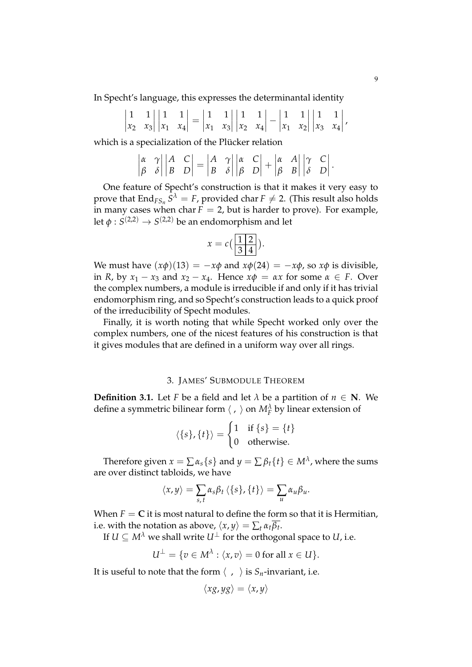In Specht's language, this expresses the determinantal identity

$$
\begin{vmatrix} 1 & 1 \\ x_2 & x_3 \end{vmatrix} \begin{vmatrix} 1 & 1 \\ x_1 & x_4 \end{vmatrix} = \begin{vmatrix} 1 & 1 \\ x_1 & x_3 \end{vmatrix} \begin{vmatrix} 1 & 1 \\ x_2 & x_4 \end{vmatrix} - \begin{vmatrix} 1 & 1 \\ x_1 & x_2 \end{vmatrix} \begin{vmatrix} 1 & 1 \\ x_3 & x_4 \end{vmatrix},
$$

which is a specialization of the Plücker relation

$$
\begin{vmatrix} \alpha & \gamma \\ \beta & \delta \end{vmatrix} \begin{vmatrix} A & C \\ B & D \end{vmatrix} = \begin{vmatrix} A & \gamma \\ B & \delta \end{vmatrix} \begin{vmatrix} \alpha & C \\ \beta & D \end{vmatrix} + \begin{vmatrix} \alpha & A \\ \beta & B \end{vmatrix} \begin{vmatrix} \gamma & C \\ \delta & D \end{vmatrix}.
$$

One feature of Specht's construction is that it makes it very easy to prove that  $\text{End}_{FS_n} S^{\lambda} = F$ , provided char  $F \neq 2$ . (This result also holds in many cases when char  $F = 2$ , but is harder to prove). For example, let  $\phi: S^{(2,2)} \rightarrow S^{(2,2)}$  be an endomorphism and let

$$
x = c\left(\frac{1\,|2}{3\,|4}\right).
$$

We must have  $(x\phi)(13) = -x\phi$  and  $x\phi(24) = -x\phi$ , so  $x\phi$  is divisible, in *R*, by  $x_1 - x_3$  and  $x_2 - x_4$ . Hence  $x\phi = \alpha x$  for some  $\alpha \in F$ . Over the complex numbers, a module is irreducible if and only if it has trivial endomorphism ring, and so Specht's construction leads to a quick proof of the irreducibility of Specht modules.

Finally, it is worth noting that while Specht worked only over the complex numbers, one of the nicest features of his construction is that it gives modules that are defined in a uniform way over all rings.

# 3. JAMES' SUBMODULE THEOREM

**Definition 3.1.** Let *F* be a field and let  $\lambda$  be a partition of  $n \in \mathbb{N}$ . We define a symmetric bilinear form  $\langle , \rangle$  on  $M_F^{\lambda}$  by linear extension of

$$
\langle \{s\}, \{t\} \rangle = \begin{cases} 1 & \text{if } \{s\} = \{t\} \\ 0 & \text{otherwise.} \end{cases}
$$

Therefore given  $x = \sum \alpha_s \{s\}$  and  $y = \sum \beta_t \{t\} \in M^\lambda$ , where the sums are over distinct tabloids, we have

$$
\langle x,y\rangle=\sum_{s,t}\alpha_s\beta_t\,\langle\{s\},\{t\}\rangle=\sum_u\alpha_u\beta_u.
$$

When  $F = C$  it is most natural to define the form so that it is Hermitian, i.e. with the notation as above,  $\langle x, y \rangle = \sum_t \alpha_t \beta_t$ .

If  $U \subseteq M^{\lambda}$  we shall write  $U^{\perp}$  for the orthogonal space to *U*, i.e.

$$
U^{\perp} = \{ v \in M^{\lambda} : \langle x, v \rangle = 0 \text{ for all } x \in U \}.
$$

It is useful to note that the form  $\langle , \rangle$  is  $S_n$ -invariant, i.e.

$$
\langle xg, yg\rangle = \langle x, y\rangle
$$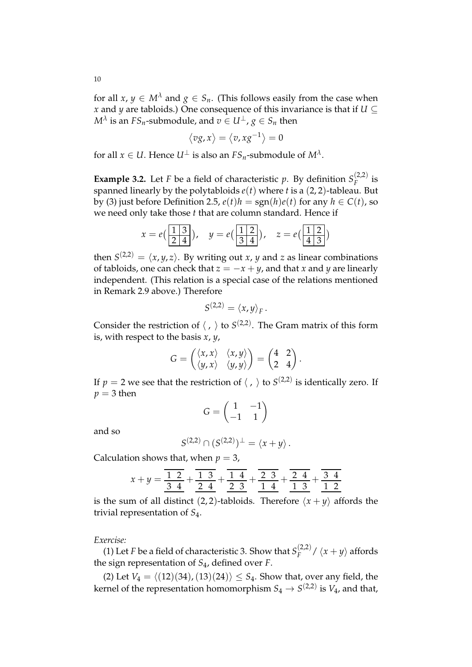for all  $x, y \in M^{\lambda}$  and  $g \in S_n$ . (This follows easily from the case when *x* and *y* are tabloids.) One consequence of this invariance is that if  $U \subseteq$  $M^{\lambda}$  is an  $FS_n$ -submodule, and  $v\in U^{\perp}$  ,  $g\in S_n$  then

$$
\langle v g, x \rangle = \langle v, x g^{-1} \rangle = 0
$$

for all  $x \in U$ . Hence  $U^{\perp}$  is also an  $FS_n$ -submodule of  $M^{\lambda}$ .

**Example 3.2.** Let *F* be a field of characteristic *p*. By definition  $S_F^{(2,2)}$  $\int\limits_F^{(2,2)}$  is spanned linearly by the polytabloids  $e(t)$  where *t* is a (2, 2)-tableau. But by (3) just before Definition 2.5,  $e(t)h = \text{sgn}(h)e(t)$  for any  $h \in C(t)$ , so we need only take those *t* that are column standard. Hence if

$$
x = e\left(\frac{1|3}{2|4}\right), \quad y = e\left(\frac{1|2}{3|4}\right), \quad z = e\left(\frac{1|2}{4|3}\right)
$$

then  $S^{(2,2)} = \langle x, y, z \rangle$ . By writing out *x*, *y* and *z* as linear combinations of tabloids, one can check that  $z = -x + y$ , and that *x* and *y* are linearly independent. (This relation is a special case of the relations mentioned in Remark 2.9 above.) Therefore

$$
S^{(2,2)} = \langle x, y \rangle_F.
$$

Consider the restriction of  $\langle , \rangle$  to  $S^{(2,2)}$ . The Gram matrix of this form is, with respect to the basis *x*, *y*,

$$
G = \begin{pmatrix} \langle x, x \rangle & \langle x, y \rangle \\ \langle y, x \rangle & \langle y, y \rangle \end{pmatrix} = \begin{pmatrix} 4 & 2 \\ 2 & 4 \end{pmatrix}.
$$

If  $p = 2$  we see that the restriction of  $\langle , \rangle$  to  $S^{(2,2)}$  is identically zero. If  $p = 3$  then

$$
G = \begin{pmatrix} 1 & -1 \\ -1 & 1 \end{pmatrix}
$$

and so

$$
S^{(2,2)} \cap (S^{(2,2)})^{\perp} = \langle x + y \rangle.
$$

Calculation shows that, when  $p = 3$ ,

$$
x + y = \frac{\overline{12}}{34} + \frac{\overline{13}}{24} + \frac{\overline{14}}{23} + \frac{\overline{23}}{14} + \frac{\overline{24}}{13} + \frac{\overline{34}}{12}
$$

is the sum of all distinct (2, 2)-tabloids. Therefore  $\langle x + y \rangle$  affords the trivial representation of *S*4.

### *Exercise:*

(1) Let *F* be a field of characteristic 3. Show that  $S_F^{(2,2)}$  $\int_{F}^{(2,2)} f(x+y)$  affords the sign representation of *S*4, defined over *F*.

(2) Let  $V_4 = \langle (12)(34), (13)(24) \rangle \leq S_4$ . Show that, over any field, the kernel of the representation homomorphism  $S_4 \rightarrow S^{(2,2)}$  is  $V_4$ , and that,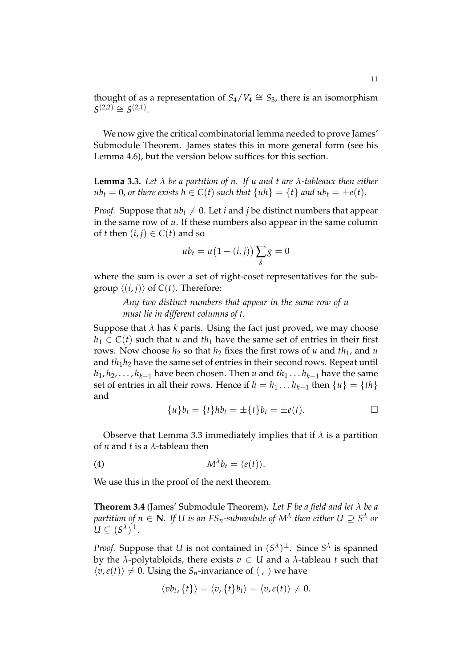thought of as a representation of  $S_4/V_4 \cong S_3$ , there is an isomorphism  $S^{(2,2)} \cong S^{(2,1)}$ .

We now give the critical combinatorial lemma needed to prove James' Submodule Theorem. James states this in more general form (see his Lemma 4.6), but the version below suffices for this section.

**Lemma 3.3.** *Let λ be a partition of n. If u and t are λ-tableaux then either*  $ub_t = 0$ , or there exists  $h \in C(t)$  such that  $\{uh\} = \{t\}$  and  $ub_t = \pm e(t)$ .

*Proof.* Suppose that  $ub_t \neq 0$ . Let *i* and *j* be distinct numbers that appear in the same row of *u*. If these numbers also appear in the same column of *t* then  $(i, j) \in C(t)$  and so

$$
ub_t = u(1 - (i, j)) \sum_{g} g = 0
$$

where the sum is over a set of right-coset representatives for the subgroup  $\langle (i, j) \rangle$  of  $C(t)$ . Therefore:

*Any two distinct numbers that appear in the same row of u must lie in different columns of t.*

Suppose that  $\lambda$  has  $k$  parts. Using the fact just proved, we may choose  $h_1 \in C(t)$  such that *u* and *th*<sub>1</sub> have the same set of entries in their first rows. Now choose  $h_2$  so that  $h_2$  fixes the first rows of  $u$  and  $th_1$ , and  $u$ and *th*1*h*<sup>2</sup> have the same set of entries in their second rows. Repeat until  $h_1, h_2, \ldots, h_{k-1}$  have been chosen. Then *u* and  $th_1 \ldots h_{k-1}$  have the same set of entries in all their rows. Hence if  $h = h_1 \dots h_{k-1}$  then  $\{u\} = \{th\}$ and

$$
\{u\}b_t = \{t\}hb_t = \pm \{t\}b_t = \pm e(t).
$$

Observe that Lemma 3.3 immediately implies that if  $\lambda$  is a partition of *n* and *t* is a *λ*-tableau then

$$
(4) \t\t\t M^{\lambda}b_t = \langle e(t) \rangle.
$$

We use this in the proof of the next theorem.

**Theorem 3.4** (James' Submodule Theorem)**.** *Let F be a field and let λ be a*  $p$  *artition of n*  $\in$  **N***. If U is an FS<sub>n</sub>-submodule of*  $M^\lambda$  *then either U*  $\supseteq S^\lambda$  *or*  $U \subseteq (S^{\lambda})^{\perp}$ .

*Proof.* Suppose that *U* is not contained in  $(S^{\lambda})^{\perp}$ . Since  $S^{\lambda}$  is spanned by the *λ*-polytabloids, there exists *v* ∈ *U* and a *λ*-tableau *t* such that  $\langle v, e(t) \rangle \neq 0$ . Using the *S*<sub>*n*</sub>-invariance of  $\langle , \rangle$  we have

$$
\langle v b_t, \{t\}\rangle = \langle v, \{t\} b_t\rangle = \langle v, e(t)\rangle \neq 0.
$$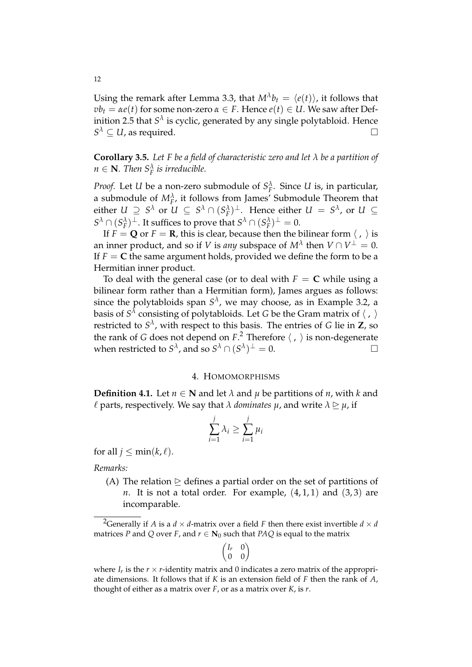Using the remark after Lemma 3.3, that  $M^{\lambda}b_t = \langle e(t) \rangle$ , it follows that  $vb_t = \alpha e(t)$  for some non-zero  $\alpha \in F$ . Hence  $e(t) \in U$ . We saw after Definition 2.5 that  $S^{\lambda}$  is cyclic, generated by any single polytabloid. Hence  $S^{\lambda} \subseteq U$ , as required.

**Corollary 3.5.** *Let F be a field of characteristic zero and let λ be a partition of*  $n \in \mathbf{N}$ *. Then*  $S_F^{\lambda}$  *is irreducible.* 

*Proof.* Let *U* be a non-zero submodule of  $S_F^{\lambda}$ . Since *U* is, in particular, a submodule of  $M_F^{\lambda}$ , it follows from James' Submodule Theorem that either  $U \supseteq S^{\lambda}$  or  $U \subseteq S^{\lambda} \cap (S_F^{\lambda})^{\perp}$ . Hence either  $U = S^{\lambda}$ , or  $U \subseteq$  $S^{\lambda} \cap (S_F^{\lambda})^{\perp}$ . It suffices to prove that  $S^{\lambda} \cap (S_F^{\lambda})^{\perp} = 0$ .

If  $F = Q$  or  $F = R$ , this is clear, because then the bilinear form  $\langle , \rangle$  is an inner product, and so if *V* is *any* subspace of  $M^\lambda$  then  $V \cap V^\perp = 0.$ If  $F = C$  the same argument holds, provided we define the form to be a Hermitian inner product.

To deal with the general case (or to deal with  $F = C$  while using a bilinear form rather than a Hermitian form), James argues as follows: since the polytabloids span  $S^{\lambda}$ , we may choose, as in Example 3.2, a basis of  $S^{\lambda}$  consisting of polytabloids. Let *G* be the Gram matrix of  $\langle$  ,  $\rangle$ restricted to *S λ* , with respect to this basis. The entries of *G* lie in **Z**, so the rank of *G* does not depend on  $F$ .<sup>2</sup> Therefore  $\langle , \rangle$  is non-degenerate when restricted to  $S^{\lambda}$ , and so  $S^{\lambda} \cap (S^{\lambda})^{\perp} = 0$ .

### 4. HOMOMORPHISMS

**Definition 4.1.** Let  $n \in \mathbb{N}$  and let  $\lambda$  and  $\mu$  be partitions of  $n$ , with  $k$  and  $\ell$  parts, respectively. We say that  $\lambda$  *dominates*  $\mu$ , and write  $\lambda \geq \mu$ , if

$$
\sum_{i=1}^{j} \lambda_i \ge \sum_{i=1}^{j} \mu_i
$$

for all  $j \leq \min(k, \ell)$ .

*Remarks:*

(A) The relation  $\triangleright$  defines a partial order on the set of partitions of *n*. It is not a total order. For example,  $(4, 1, 1)$  and  $(3, 3)$  are incomparable.

$$
\begin{pmatrix} I_r & 0 \\ 0 & 0 \end{pmatrix}
$$

<sup>&</sup>lt;sup>2</sup>Generally if *A* is a *d*  $\times$  *d*-matrix over a field *F* then there exist invertible *d*  $\times$  *d* matrices *P* and *Q* over *F*, and  $r \in \mathbb{N}_0$  such that *PAQ* is equal to the matrix

where  $I_r$  is the  $r \times r$ -identity matrix and 0 indicates a zero matrix of the appropriate dimensions. It follows that if *K* is an extension field of *F* then the rank of *A*, thought of either as a matrix over *F*, or as a matrix over *K*, is *r*.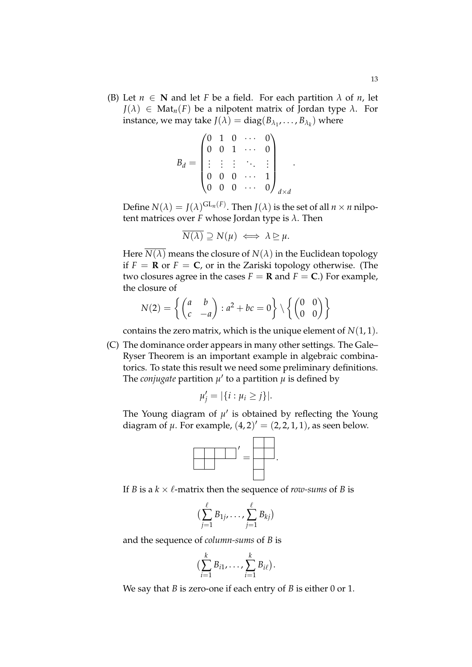(B) Let  $n \in \mathbb{N}$  and let *F* be a field. For each partition  $\lambda$  of *n*, let  $J(\lambda) \in Mat_n(F)$  be a nilpotent matrix of Jordan type  $\lambda$ . For instance, we may take  $J(\lambda) = diag(B_{\lambda_1}, \ldots, B_{\lambda_k})$  where

$$
B_d = \begin{pmatrix} 0 & 1 & 0 & \cdots & 0 \\ 0 & 0 & 1 & \cdots & 0 \\ \vdots & \vdots & \vdots & \ddots & \vdots \\ 0 & 0 & 0 & \cdots & 1 \\ 0 & 0 & 0 & \cdots & 0 \end{pmatrix}_{d \times d}
$$

Define  $N(\lambda) = J(\lambda)^{\operatorname{GL}_n(F)}$ . Then  $J(\lambda)$  is the set of all  $n \times n$  nilpotent matrices over *F* whose Jordan type is *λ*. Then

.

$$
\overline{N(\lambda)} \supseteq N(\mu) \iff \lambda \supseteq \mu.
$$

Here  $N(\lambda)$  means the closure of  $N(\lambda)$  in the Euclidean topology if  $F = \mathbf{R}$  or  $F = \mathbf{C}$ , or in the Zariski topology otherwise. (The two closures agree in the cases  $F = \mathbf{R}$  and  $F = \mathbf{C}$ .) For example, the closure of

$$
N(2) = \left\{ \begin{pmatrix} a & b \\ c & -a \end{pmatrix} : a^2 + bc = 0 \right\} \setminus \left\{ \begin{pmatrix} 0 & 0 \\ 0 & 0 \end{pmatrix} \right\}
$$

contains the zero matrix, which is the unique element of  $N(1, 1)$ .

(C) The dominance order appears in many other settings. The Gale– Ryser Theorem is an important example in algebraic combinatorics. To state this result we need some preliminary definitions. The *conjugate* partition  $\mu'$  to a partition  $\overline{\mu}$  is defined by

$$
\mu'_j = |\{i : \mu_i \geq j\}|.
$$

The Young diagram of  $\mu'$  is obtained by reflecting the Young diagram of  $\mu$ . For example,  $(4,2)' = (2,2,1,1)$ , as seen below.



If *B* is a  $k \times \ell$ -matrix then the sequence of *row-sums* of *B* is

$$
\big(\sum_{j=1}^{\ell} B_{1j},\ldots,\sum_{j=1}^{\ell} B_{kj}\big)
$$

and the sequence of *column-sums* of *B* is

$$
\bigl(\sum_{i=1}^k B_{i1},\ldots,\sum_{i=1}^k B_{i\ell}\bigr).
$$

We say that *B* is zero-one if each entry of *B* is either 0 or 1.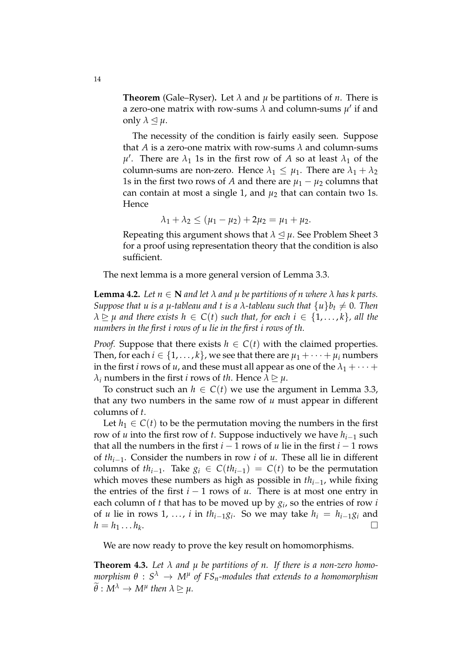**Theorem** (Gale–Ryser). Let  $\lambda$  and  $\mu$  be partitions of  $n$ . There is a zero-one matrix with row-sums  $\lambda$  and column-sums  $\mu'$  if and only  $\lambda \leq \mu$ .

The necessity of the condition is fairly easily seen. Suppose that *A* is a zero-one matrix with row-sums *λ* and column-sums  $\mu'$ . There are  $\lambda_1$  1s in the first row of *A* so at least  $\lambda_1$  of the column-sums are non-zero. Hence  $\lambda_1 \leq \mu_1$ . There are  $\lambda_1 + \lambda_2$ 1s in the first two rows of *A* and there are  $\mu_1 - \mu_2$  columns that can contain at most a single 1, and *µ*<sup>2</sup> that can contain two 1s. **Hence** 

$$
\lambda_1 + \lambda_2 \leq (\mu_1 - \mu_2) + 2\mu_2 = \mu_1 + \mu_2.
$$

Repeating this argument shows that  $\lambda \leq \mu$ . See Problem Sheet 3 for a proof using representation theory that the condition is also sufficient.

The next lemma is a more general version of Lemma 3.3.

**Lemma 4.2.** Let  $n \in \mathbb{N}$  and let  $\lambda$  and  $\mu$  be partitions of n where  $\lambda$  has k parts. *Suppose that u is a µ*-tableau and t is a  $\lambda$ -tableau such that  $\{u\}b_t \neq 0$ . Then  $\lambda \geq \mu$  and there exists  $h \in C(t)$  such that, for each  $i \in \{1, \ldots, k\}$ , all the *numbers in the first i rows of u lie in the first i rows of th.*

*Proof.* Suppose that there exists  $h \in C(t)$  with the claimed properties. Then, for each  $i \in \{1, ..., k\}$ , we see that there are  $\mu_1 + \cdots + \mu_i$  numbers in the first *i* rows of *u*, and these must all appear as one of the  $\lambda_1 + \cdots$ *λ*<sub>*i*</sub> numbers in the first *i* rows of *th*. Hence  $λ ⊵ μ$ .

To construct such an  $h \in C(t)$  we use the argument in Lemma 3.3, that any two numbers in the same row of *u* must appear in different columns of *t*.

Let  $h_1 \in C(t)$  to be the permutation moving the numbers in the first row of *u* into the first row of *t*. Suppose inductively we have  $h_{i-1}$  such that all the numbers in the first  $i - 1$  rows of  $u$  lie in the first  $i - 1$  rows of *thi*−<sup>1</sup> . Consider the numbers in row *i* of *u*. These all lie in different columns of  $th_{i-1}$ . Take  $g_i \in C(th_{i-1}) = C(t)$  to be the permutation which moves these numbers as high as possible in *thi*−<sup>1</sup> , while fixing the entries of the first *i* − 1 rows of *u*. There is at most one entry in each column of *t* that has to be moved up by *g<sup>i</sup>* , so the entries of row *i* of *u* lie in rows 1, ..., *i* in  $th_{i-1}g_i$ . So we may take  $h_i = h_{i-1}g_i$  and  $h = h_1 \dots h_k$ . . В последните при последните последните последните последните последните последните последните последните по<br>В последните последните последните последните последните последните последните последните последните последнит<br>

We are now ready to prove the key result on homomorphisms.

**Theorem 4.3.** Let  $\lambda$  and  $\mu$  be partitions of n. If there is a non-zero homo*morphism θ* : *S <sup>λ</sup>* → *M<sup>µ</sup> of FSn-modules that extends to a homomorphism*  $\theta : M^{\lambda} \to M^{\mu}$  then  $\lambda \geq \mu$ .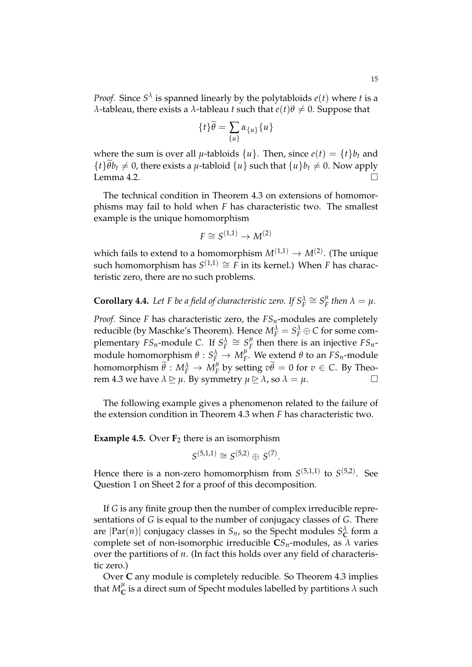*Proof.* Since  $S^{\lambda}$  is spanned linearly by the polytabloids  $e(t)$  where *t* is a *λ*-tableau, there exists a *λ*-tableau *t* such that  $e(t)θ ≠ 0$ . Suppose that

$$
\{t\}\widetilde{\theta} = \sum_{\{u\}} \alpha_{\{u\}} \{u\}
$$

where the sum is over all  $\mu$ -tabloids  $\{u\}$ . Then, since  $e(t) = \{t\}b_t$  and  ${f \} \hat{\theta} b_t \neq 0$ , there exists a *µ*-tabloid  ${u}$  such that  ${u}b_t \neq 0$ . Now apply I emma 4.2 Lemma 4.2.

The technical condition in Theorem 4.3 on extensions of homomorphisms may fail to hold when *F* has characteristic two. The smallest example is the unique homomorphism

$$
F \cong S^{(1,1)} \to M^{(2)}
$$

which fails to extend to a homomorphism  $M^{(1,1)} \to M^{(2)}$ . (The unique such homomorphism has  $S^{(1,1)} \cong F$  in its kernel.) When *F* has characteristic zero, there are no such problems.

**Corollary 4.4.** Let F be a field of characteristic zero. If  $S_F^{\lambda} \cong S_F^{\mu}$  $^{\mu}_{F}$  then  $\lambda = \mu$ .

*Proof.* Since *F* has characteristic zero, the *FSn*-modules are completely reducible (by Maschke's Theorem). Hence  $M_F^{\lambda} = S_F^{\lambda} \oplus C$  for some complementary  $FS_n$ -module C. If  $S_F^{\lambda} \cong S_F^{\mu}$  $E_F^{\mu}$  then there is an injective  $FS_n$ module homomorphism  $\theta: S_{F}^{\lambda} \rightarrow M_{F}^{\mu}$ *F* . We extend *θ* to an *FSn*-module  $\lambda$  homomorphism  $\widetilde{\theta}: M_F^{\lambda} \to M_F^{\mu}$ *F* by setting  $v\theta = 0$  for  $v \in C$ . By Theorem 4.3 we have  $\lambda \geq \mu$ . By symmetry  $\mu \geq \lambda$ , so  $\lambda = \mu$ .

The following example gives a phenomenon related to the failure of the extension condition in Theorem 4.3 when *F* has characteristic two.

**Example 4.5.** Over  $F_2$  there is an isomorphism

$$
S^{(5,1,1)} \cong S^{(5,2)} \oplus S^{(7)}.
$$

Hence there is a non-zero homomorphism from  $S^{(5,1,1)}$  to  $S^{(5,2)}$ . See Question 1 on Sheet 2 for a proof of this decomposition.

If *G* is any finite group then the number of complex irreducible representations of *G* is equal to the number of conjugacy classes of *G*. There are  $|\text{Par}(n)|$  conjugacy classes in  $S_n$ , so the Specht modules  $S^{\lambda}_{\mathbf{C}}$  form a complete set of non-isomorphic irreducible  $CS_n$ -modules, as  $\lambda$  varies over the partitions of *n*. (In fact this holds over any field of characteristic zero.)

Over **C** any module is completely reducible. So Theorem 4.3 implies that  $M^{\mu}_{\mathbf{C}}$  $_{\mathbf{C}}^{\mu}$  is a direct sum of Specht modules labelled by partitions  $\lambda$  such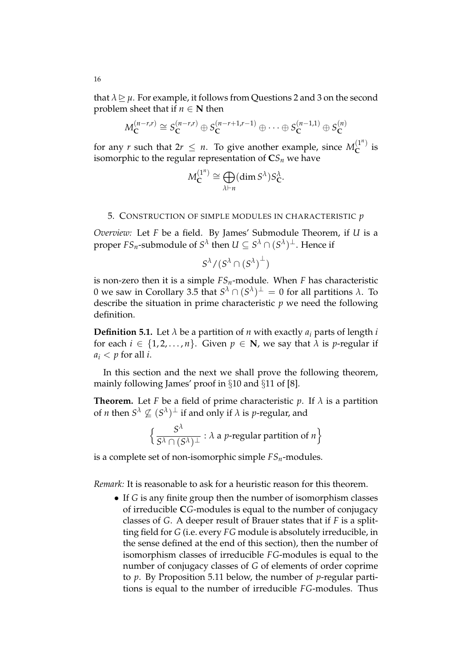that  $\lambda \geq \mu$ . For example, it follows from Questions 2 and 3 on the second problem sheet that if  $n \in \mathbb{N}$  then

$$
M_{\mathbf{C}}^{(n-r,r)} \cong S_{\mathbf{C}}^{(n-r,r)} \oplus S_{\mathbf{C}}^{(n-r+1,r-1)} \oplus \cdots \oplus S_{\mathbf{C}}^{(n-1,1)} \oplus S_{\mathbf{C}}^{(n)}
$$

for any *r* such that  $2r \leq n$ . To give another example, since  $M_C^{(1^n)}$  $\int_{C}^{1}$  is isomorphic to the regular representation of  $CS<sub>n</sub>$  we have

$$
M_{\mathbf{C}}^{(1^n)} \cong \bigoplus_{\lambda \vdash n} (\dim S^{\lambda}) S_{\mathbf{C}}^{\lambda}.
$$

### 5. CONSTRUCTION OF SIMPLE MODULES IN CHARACTERISTIC *p*

*Overview:* Let *F* be a field. By James' Submodule Theorem, if *U* is a proper  $FS_n$ -submodule of  $S^\lambda$  then  $U\subseteq S^\lambda\cap (S^\lambda)^\perp.$  Hence if

$$
S^\lambda/(S^\lambda\cap {({S^\lambda})}^\perp)
$$

is non-zero then it is a simple *FSn*-module. When *F* has characteristic  $0$  we saw in Corollary 3.5 that  $S^λ ∩ (S^λ)^\perp = 0$  for all partitions  $λ$ . To describe the situation in prime characteristic *p* we need the following definition.

**Definition 5.1.** Let  $\lambda$  be a partition of *n* with exactly  $a_i$  parts of length *i* for each  $i \in \{1, 2, ..., n\}$ . Given  $p \in \mathbb{N}$ , we say that  $\lambda$  is *p*-regular if  $a_i < p$  for all *i*.

In this section and the next we shall prove the following theorem, mainly following James' proof in §10 and §11 of [8].

**Theorem.** Let *F* be a field of prime characteristic *p*. If  $\lambda$  is a partition of *n* then  $S^{\lambda} \nsubseteq (S^{\lambda})^{\perp}$  if and only if  $\lambda$  is *p*-regular, and

$$
\left\{ \frac{S^{\lambda}}{S^{\lambda} \cap (S^{\lambda})^{\perp}} : \lambda \text{ a } p\text{-regular partition of } n \right\}
$$

is a complete set of non-isomorphic simple *FSn*-modules.

*Remark:* It is reasonable to ask for a heuristic reason for this theorem.

• If *G* is any finite group then the number of isomorphism classes of irreducible **C***G*-modules is equal to the number of conjugacy classes of *G*. A deeper result of Brauer states that if *F* is a splitting field for *G* (i.e. every *FG* module is absolutely irreducible, in the sense defined at the end of this section), then the number of isomorphism classes of irreducible *FG*-modules is equal to the number of conjugacy classes of *G* of elements of order coprime to *p*. By Proposition 5.11 below, the number of *p*-regular partitions is equal to the number of irreducible *FG*-modules. Thus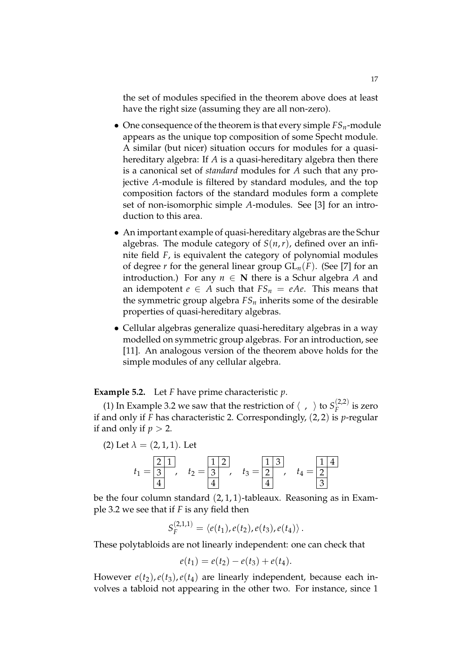the set of modules specified in the theorem above does at least have the right size (assuming they are all non-zero).

- One consequence of the theorem is that every simple  $FS_n$ -module appears as the unique top composition of some Specht module. A similar (but nicer) situation occurs for modules for a quasihereditary algebra: If *A* is a quasi-hereditary algebra then there is a canonical set of *standard* modules for *A* such that any projective *A*-module is filtered by standard modules, and the top composition factors of the standard modules form a complete set of non-isomorphic simple *A*-modules. See [3] for an introduction to this area.
- An important example of quasi-hereditary algebras are the Schur algebras. The module category of  $S(n,r)$ , defined over an infinite field *F*, is equivalent the category of polynomial modules of degree *r* for the general linear group  $GL_n(F)$ . (See [7] for an introduction.) For any  $n \in \mathbb{N}$  there is a Schur algebra A and an idempotent  $e \in A$  such that  $FS_n = eAe$ . This means that the symmetric group algebra  $FS<sub>n</sub>$  inherits some of the desirable properties of quasi-hereditary algebras.
- Cellular algebras generalize quasi-hereditary algebras in a way modelled on symmetric group algebras. For an introduction, see [11]. An analogous version of the theorem above holds for the simple modules of any cellular algebra.

**Example 5.2.** Let *F* have prime characteristic *p*.

(1) In Example 3.2 we saw that the restriction of  $\langle , \rangle$  to  $S_F^{(2,2)}$  $\int_{F}^{\frac{2}{2}}$  is zero if and only if *F* has characteristic 2. Correspondingly, (2, 2) is *p*-regular if and only if  $p > 2$ .

(2) Let 
$$
\lambda = (2, 1, 1)
$$
. Let  
\n $t_1 = \frac{2}{3}, \quad t_2 = \frac{1}{3}, \quad t_3 = \frac{1}{3}, \quad t_4 = \frac{1}{3}$ 

be the four column standard  $(2, 1, 1)$ -tableaux. Reasoning as in Example 3.2 we see that if *F* is any field then

$$
S_F^{(2,1,1)} = \langle e(t_1), e(t_2), e(t_3), e(t_4) \rangle.
$$

These polytabloids are not linearly independent: one can check that

$$
e(t_1) = e(t_2) - e(t_3) + e(t_4).
$$

However  $e(t_2)$ ,  $e(t_3)$ ,  $e(t_4)$  are linearly independent, because each involves a tabloid not appearing in the other two. For instance, since 1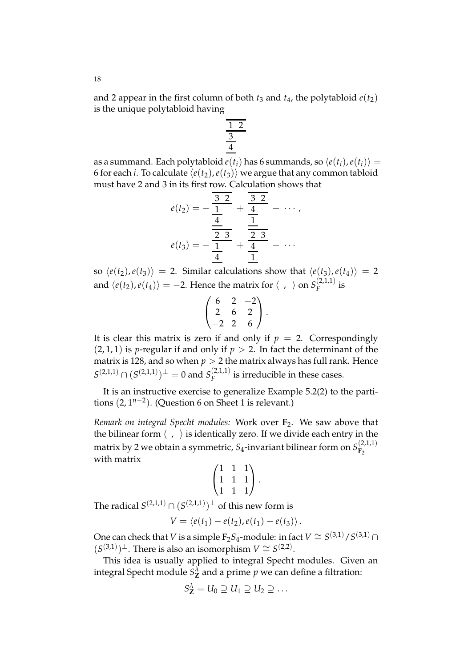and 2 appear in the first column of both  $t_3$  and  $t_4$ , the polytabloid  $e(t_2)$ is the unique polytabloid having

$$
\frac{1}{\frac{3}{4}}
$$

as a summand. Each polytabloid  $e(t_i)$  has 6 summands, so  $\langle e(t_i), e(t_i) \rangle =$ 6 for each *i*. To calculate  $\langle e(t_2), e(t_3) \rangle$  we argue that any common tabloid must have 2 and 3 in its first row. Calculation shows that

$$
e(t_2) = -\frac{\frac{3}{2} \cdot 2}{\frac{4}{2}} + \frac{\frac{3}{2} \cdot 2}{\frac{1}{2}} + \cdots,
$$

$$
e(t_3) = -\frac{\frac{2}{2} \cdot 3}{\frac{4}{2}} + \frac{\frac{2}{2} \cdot 3}{\frac{1}{2}} + \cdots
$$

so  $\langle e(t_2), e(t_3) \rangle = 2$ . Similar calculations show that  $\langle e(t_3), e(t_4) \rangle = 2$ and  $\langle e(t_2), e(t_4)\rangle = -2.$  Hence the matrix for  $\langle\phantom{x},\phantom{x}\rangle$  on  $S_F^{(2,1,1)}$  $\int_{F}^{\frac{2}{1}}$  *F* 

$$
\begin{pmatrix} 6 & 2 & -2 \ 2 & 6 & 2 \ -2 & 2 & 6 \end{pmatrix}.
$$

It is clear this matrix is zero if and only if  $p = 2$ . Correspondingly  $(2, 1, 1)$  is *p*-regular if and only if  $p > 2$ . In fact the determinant of the matrix is 128, and so when  $p > 2$  the matrix always has full rank. Hence  $S^{(2,1,1)} \cap (S^{(2,1,1)})^{\perp} = 0$  and  $S_F^{(2,1,1)}$  $\int_{F}^{(2,1,1)}$  is irreducible in these cases.

It is an instructive exercise to generalize Example 5.2(2) to the partitions (2, 1*n*−<sup>2</sup> ). (Question 6 on Sheet 1 is relevant.)

*Remark on integral Specht modules:* Work over **F**2. We saw above that the bilinear form  $\langle , \rangle$  is identically zero. If we divide each entry in the matrix by 2 we obtain a symmetric, *S*4-invariant bilinear form on *S* (2,1,1) **F**2 with matrix

$$
\begin{pmatrix} 1 & 1 & 1 \\ 1 & 1 & 1 \\ 1 & 1 & 1 \end{pmatrix}.
$$

The radical  $S^{(2,1,1)} \cap (S^{(2,1,1)})^{\perp}$  of this new form is

$$
V = \langle e(t_1) - e(t_2), e(t_1) - e(t_3) \rangle.
$$

One can check that *V* is a simple  $\mathbf{F}_2S_4$ -module: in fact  $V \cong S^{(3,1)}/S^{(3,1)} \cap$  $(S^{(3,1)})$ <sup>⊥</sup>. There is also an isomorphism  $V \cong S^{(2,2)}$ .

This idea is usually applied to integral Specht modules. Given an integral Specht module  $S^{\lambda}_{\mathbf{Z}}$  and a prime  $p$  we can define a filtration:

$$
S_{\mathbf{Z}}^{\lambda}=U_0\supseteq U_1\supseteq U_2\supseteq\ldots
$$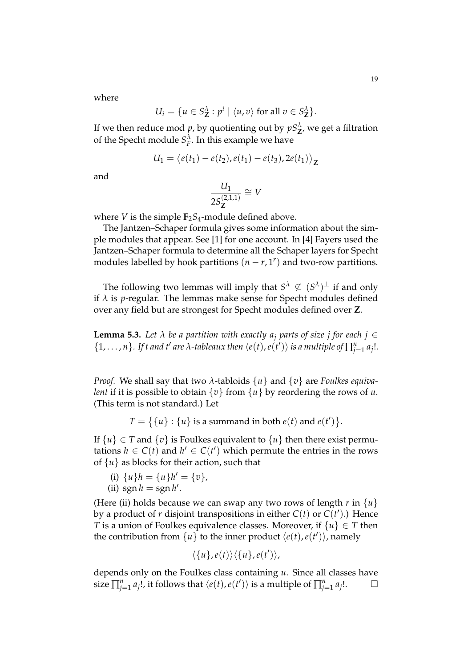where

$$
U_i = \{ u \in S^{\lambda}_{\mathbf{Z}} : p^i \mid \langle u, v \rangle \text{ for all } v \in S^{\lambda}_{\mathbf{Z}} \}.
$$

If we then reduce mod  $p$ , by quotienting out by  $pS^{\lambda}_{\mathbf{Z}'}$  we get a filtration of the Specht module  $S_F^{\lambda}$ . In this example we have

$$
U_1 = \langle e(t_1) - e(t_2), e(t_1) - e(t_3), 2e(t_1) \rangle_{\mathbf{Z}}
$$

and

$$
\frac{U_1}{2S^{(2,1,1)}_{\mathbf{Z}}}\cong V
$$

where *V* is the simple  $\mathbf{F}_2 S_4$ -module defined above.

The Jantzen–Schaper formula gives some information about the simple modules that appear. See [1] for one account. In [4] Fayers used the Jantzen–Schaper formula to determine all the Schaper layers for Specht modules labelled by hook partitions  $(n - r, 1^r)$  and two-row partitions.

The following two lemmas will imply that  $S^{\lambda} \nsubseteq (S^{\lambda})^{\perp}$  if and only if  $\lambda$  is *p*-regular. The lemmas make sense for Specht modules defined over any field but are strongest for Specht modules defined over **Z**.

**Lemma 5.3.** Let  $\lambda$  be a partition with exactly  $a_j$  parts of size j for each  $j \in$  $\{1,\ldots,n\}$ . If t and t' are  $\lambda$ -tableaux then  $\langle e(t),e(t')\rangle$  is a multiple of  $\prod_{j=1}^n a_j!$ .

*Proof.* We shall say that two *λ*-tabloids {*u*} and {*v*} are *Foulkes equivalent* if it is possible to obtain  $\{v\}$  from  $\{u\}$  by reordering the rows of *u*. (This term is not standard.) Let

 $T = \{ \{u\} : \{u\} \text{ is a summand in both } e(t) \text{ and } e(t') \}.$ 

If  $\{u\} \in T$  and  $\{v\}$  is Foulkes equivalent to  $\{u\}$  then there exist permutations  $h \in C(t)$  and  $h' \in C(t')$  which permute the entries in the rows of  $\{u\}$  as blocks for their action, such that

- (i)  $\{u\}$ *h* =  $\{u\}$ *h'* =  $\{v\}$ *,*
- (ii)  $\text{sgn}\,h = \text{sgn}\,h'$ .

(Here (ii) holds because we can swap any two rows of length  $r$  in  $\{u\}$ by a product of *r* disjoint transpositions in either  $C(t)$  or  $C(t')$ .) Hence *T* is a union of Foulkes equivalence classes. Moreover, if  $\{u\} \in T$  then the contribution from  $\{u\}$  to the inner product  $\langle e(t), e(t')\rangle$ , namely

$$
\langle \{u\}, e(t) \rangle \langle \{u\}, e(t') \rangle,
$$

depends only on the Foulkes class containing *u*. Since all classes have size  $\prod_{j=1}^{n} a_j!$ , it follows that  $\langle e(t), e(t') \rangle$  is a multiple of  $\prod_{j=1}^{n} a_j$  $\Box$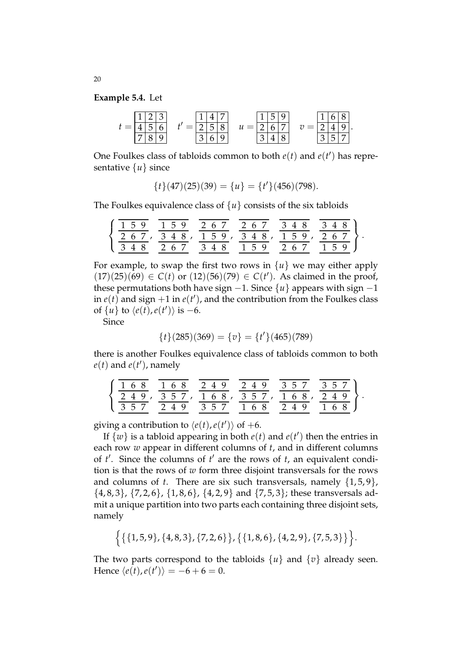**Example 5.4.** Let

| ٠ |   |  |   |             |   |  |   |  |   |  |
|---|---|--|---|-------------|---|--|---|--|---|--|
|   | - |  | - | $\sim$<br>◡ | _ |  | - |  |   |  |
|   |   |  |   |             |   |  |   |  | ⊷ |  |

One Foulkes class of tabloids common to both  $e(t)$  and  $e(t')$  has representative {*u*} since

$$
{t}(47)(25)(39) = {u} = {t}'(456)(798).
$$

The Foulkes equivalence class of  $\{u\}$  consists of the six tabloids

| 159   | 1 5 9     | 267         | 2 6 7 | 3 4 8 | 3481  |
|-------|-----------|-------------|-------|-------|-------|
| 2 6 7 | 348, 159, |             | 348,  | 159,  | 267 } |
| 348   | 267       | 3 4 8 1 5 9 |       | 2 6 7 | 159   |

.

.

For example, to swap the first two rows in  $\{u\}$  we may either apply  $(17)(25)(69) ∈ C(t)$  or  $(12)(56)(79) ∈ C(t')$ . As claimed in the proof, these permutations both have sign  $-1$ . Since  $\{u\}$  appears with sign  $-1$ in  $e(t)$  and sign  $+1$  in  $e(t')$ , and the contribution from the Foulkes class of  $\{u\}$  to  $\langle e(t), e(t') \rangle$  is -6.

Since

$$
\{t\}(285)(369) = \{v\} = \{t'\}(465)(789)
$$

there is another Foulkes equivalence class of tabloids common to both  $e(t)$  and  $e(t')$ , namely

| 168 |  |     | 168 | 249 |  | 249 |  |  | 357                      |     | 357 |  |
|-----|--|-----|-----|-----|--|-----|--|--|--------------------------|-----|-----|--|
|     |  |     |     |     |  |     |  |  | 249, 357, 168, 357, 168, | 249 |     |  |
| 357 |  | 249 |     | 357 |  | 168 |  |  | 249                      |     | 168 |  |

giving a contribution to  $\langle e(t), e(t') \rangle$  of +6.

If  $\{\omega\}$  is a tabloid appearing in both  $e(t)$  and  $e(t')$  then the entries in each row *w* appear in different columns of *t*, and in different columns of  $t'$ . Since the columns of  $t'$  are the rows of  $t$ , an equivalent condition is that the rows of *w* form three disjoint transversals for the rows and columns of *t*. There are six such transversals, namely {1, 5, 9},  $\{4, 8, 3\}, \{7, 2, 6\}, \{1, 8, 6\}, \{4, 2, 9\}$  and  $\{7, 5, 3\}$ ; these transversals admit a unique partition into two parts each containing three disjoint sets, namely

$$
\Big\{\{\{1,5,9\},\{4,8,3\},\{7,2,6\}\},\{\{1,8,6\},\{4,2,9\},\{7,5,3\}\}\Big\}.
$$

The two parts correspond to the tabloids  $\{u\}$  and  $\{v\}$  already seen. Hence  $\langle e(t), e(t') \rangle = -6 + 6 = 0.$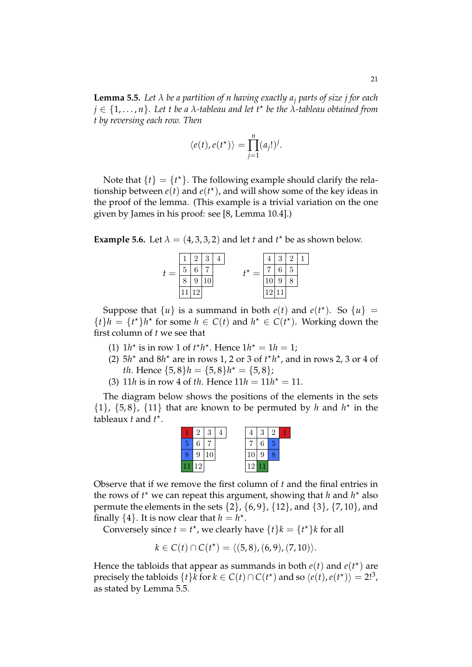**Lemma 5.5.** *Let λ be a partition of n having exactly a<sup>j</sup> parts of size j for each j* ∈ {1, . . . , *n*}*. Let t be a λ-tableau and let t*? *be the λ-tableau obtained from t by reversing each row. Then*

$$
\langle e(t), e(t^*) \rangle = \prod_{j=1}^n (a_j!)^j.
$$

Note that  $\{t\} = \{t^{\star}\}.$  The following example should clarify the relationship between  $e(t)$  and  $e(t^*)$ , and will show some of the key ideas in the proof of the lemma. (This example is a trivial variation on the one given by James in his proof: see [8, Lemma 10.4].)

**Example 5.6.** Let  $\lambda = (4, 3, 3, 2)$  and let *t* and *t*<sup>\*</sup> be as shown below.

|   |   | 3 | $\overline{4}$ |  | 3 | $\overline{2}$ | 1 |
|---|---|---|----------------|--|---|----------------|---|
| 5 | c |   |                |  | ⌒ | 5              |   |
|   |   |   |                |  |   |                |   |
|   |   |   |                |  |   |                |   |

Suppose that  $\{u\}$  is a summand in both  $e(t)$  and  $e(t^*)$ . So  $\{u\}$  =  ${t}$ <sup>*h*</sup> =  ${t^*}$ *h*<sup>\*</sup> for some *h*  $\in C(t)$  and *h*<sup>\*</sup>  $\in C(t^*)$ . Working down the first column of *t* we see that

- (1)  $1h^*$  is in row 1 of  $t^*h^*$ . Hence  $1h^* = 1h = 1$ ;
- (2)  $5h<sup>*</sup>$  and  $8h<sup>*</sup>$  are in rows 1, 2 or 3 of  $t<sup>*</sup>h<sup>*</sup>$ , and in rows 2, 3 or 4 of *th*. Hence  $\{5, 8\}$ *h* =  $\{5, 8\}$ *h*<sup>\*</sup> =  $\{5, 8\}$ ;
- (3) 11*h* is in row 4 of *th*. Hence  $11h = 11h^* = 11$ .

The diagram below shows the positions of the elements in the sets  $\{1\}$ ,  $\{5, 8\}$ ,  $\{11\}$  that are known to be permuted by *h* and  $h^*$  in the tableaux *t* and *t* ? .



Observe that if we remove the first column of *t* and the final entries in the rows of  $t^*$  we can repeat this argument, showing that *h* and  $h^*$  also permute the elements in the sets  $\{2\}$ ,  $\{6, 9\}$ ,  $\{12\}$ , and  $\{3\}$ ,  $\{7, 10\}$ , and finally  $\{4\}$ . It is now clear that  $h = h^*$ .

Conversely since  $t = t^*$ , we clearly have  $\{t\}k = \{t^*\}k$  for all

$$
k \in C(t) \cap C(t^*) = \langle (5,8), (6,9), (7,10) \rangle.
$$

Hence the tabloids that appear as summands in both  $e(t)$  and  $e(t<sup>*</sup>)$  are precisely the tabloids  $\{t\}$ *k* for  $k \in C(t) \cap C(t^*)$  and so  $\langle e(t), e(t^*) \rangle = 2!^3$ , as stated by Lemma 5.5.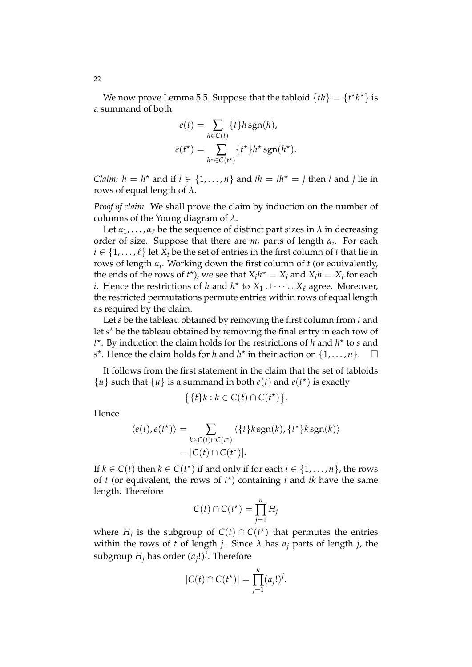We now prove Lemma 5.5. Suppose that the tabloid  ${th} = {t<sup>*</sup>h<sup>*</sup>}$  is a summand of both

$$
e(t) = \sum_{h \in C(t)} \{t\} h \operatorname{sgn}(h),
$$

$$
e(t^*) = \sum_{h^* \in C(t^*)} \{t^*\} h^* \operatorname{sgn}(h^*).
$$

*Claim:*  $h = h^*$  and if  $i \in \{1, ..., n\}$  and  $ih = ih^* = j$  then *i* and *j* lie in rows of equal length of  $\lambda$ .

*Proof of claim.* We shall prove the claim by induction on the number of columns of the Young diagram of *λ*.

Let  $\alpha_1, \ldots, \alpha_\ell$  be the sequence of distinct part sizes in  $\lambda$  in decreasing order of size. Suppose that there are *m<sup>i</sup>* parts of length *α<sup>i</sup>* . For each  $i \in \{1, \ldots, \ell\}$  let  $X_i$  be the set of entries in the first column of *t* that lie in rows of length *α<sup>i</sup>* . Working down the first column of *t* (or equivalently, the ends of the rows of  $t^*$ ), we see that  $X_i h^* = X_i$  and  $X_i h = X_i$  for each *i*. Hence the restrictions of *h* and  $h^*$  to  $X_1 \cup \cdots \cup X_\ell$  agree. Moreover, the restricted permutations permute entries within rows of equal length as required by the claim.

Let *s* be the tableau obtained by removing the first column from *t* and let *s*<sup>\*</sup> be the tableau obtained by removing the final entry in each row of  $t^*$ . By induction the claim holds for the restrictions of *h* and  $h^*$  to *s* and *s*<sup>\*</sup>. Hence the claim holds for *h* and *h*<sup>\*</sup> in their action on  $\{1, ..., n\}$ .  $\Box$ 

It follows from the first statement in the claim that the set of tabloids  $\{u\}$  such that  $\{u\}$  is a summand in both  $e(t)$  and  $e(t^*)$  is exactly

$$
\{\{t\}k : k \in C(t) \cap C(t^{\star})\}.
$$

Hence

$$
\langle e(t), e(t^*) \rangle = \sum_{k \in C(t) \cap C(t^*)} \langle \{t\} k \operatorname{sgn}(k), \{t^*\} k \operatorname{sgn}(k) \rangle
$$

$$
= |C(t) \cap C(t^*)|.
$$

If  $k \in C(t)$  then  $k \in C(t^*)$  if and only if for each  $i \in \{1, \ldots, n\}$ , the rows of *t* (or equivalent, the rows of  $t^*$ ) containing *i* and *ik* have the same length. Therefore

$$
C(t) \cap C(t^*) = \prod_{j=1}^n H_j
$$

where  $H_j$  is the subgroup of  $C(t) \cap C(t^*)$  that permutes the entries within the rows of *t* of length *j*. Since  $\lambda$  has  $a_j$  parts of length *j*, the subgroup  $H_j$  has order  $(a_j!)^j$ . Therefore

$$
|C(t)\cap C(t^*)|=\prod_{j=1}^n(a_j!)^j.
$$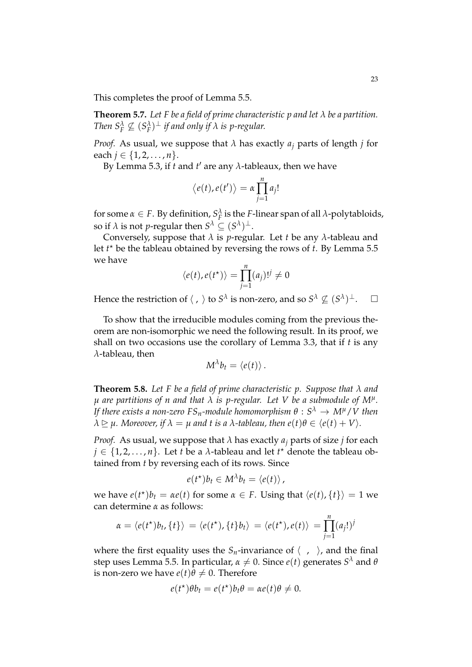This completes the proof of Lemma 5.5.

**Theorem 5.7.** *Let F be a field of prime characteristic p and let λ be a partition.* Then  $S_F^{\lambda} \not\subseteq (S_F^{\lambda})^{\perp}$  *if and only if*  $\lambda$  *is p-regular.* 

*Proof.* As usual, we suppose that  $\lambda$  has exactly  $a_i$  parts of length *j* for each  $j \in \{1, 2, ..., n\}.$ 

By Lemma 5.3, if *t* and *t'* are any  $\lambda$ -tableaux, then we have

$$
\langle e(t), e(t') \rangle = \alpha \prod_{j=1}^n a_j!
$$

for some  $\alpha \in F$ . By definition,  $S_F^{\lambda}$  is the *F*-linear span of all  $\lambda$ -polytabloids, so if  $\lambda$  is not *p*-regular then  $S^{\lambda} \subseteq (S^{\lambda})^{\perp}$ .

Conversely, suppose that  $\lambda$  is *p*-regular. Let *t* be any  $\lambda$ -tableau and let *t* ? be the tableau obtained by reversing the rows of *t*. By Lemma 5.5 we have

$$
\langle e(t), e(t^{\star}) \rangle = \prod_{j=1}^{n} (a_j)!^{j} \neq 0
$$

Hence the restriction of  $\langle , \rangle$  to  $S^{\lambda}$  is non-zero, and so  $S^{\lambda} \nsubseteq (S^{\lambda})^{\perp}$ .

To show that the irreducible modules coming from the previous theorem are non-isomorphic we need the following result. In its proof, we shall on two occasions use the corollary of Lemma 3.3, that if *t* is any *λ*-tableau, then

$$
M^{\lambda}b_t=\langle e(t)\rangle.
$$

**Theorem 5.8.** *Let F be a field of prime characteristic p. Suppose that λ and µ are partitions of n and that λ is p-regular. Let V be a submodule of M<sup>µ</sup> . If there exists a non-zero FSn-module homomorphism θ* : *S <sup>λ</sup>* → *Mµ*/*V then*  $\lambda \triangleright \mu$ . Moreover, if  $\lambda = \mu$  and t is a  $\lambda$ -tableau, then  $e(t)\theta \in \langle e(t) + V \rangle$ .

*Proof.* As usual, we suppose that  $\lambda$  has exactly  $a_i$  parts of size *j* for each  $j \in \{1, 2, \ldots, n\}$ . Let *t* be a  $\lambda$ -tableau and let  $t^{\star}$  denote the tableau obtained from *t* by reversing each of its rows. Since

$$
e(t^*)b_t \in M^{\lambda}b_t = \langle e(t) \rangle,
$$

we have  $e(t^*)b_t = ae(t)$  for some  $\alpha \in F$ . Using that  $\langle e(t), \{t\} \rangle = 1$  we can determine *α* as follows:

$$
\alpha = \langle e(t^*)b_t, \{t\}\rangle = \langle e(t^*), \{t\}b_t\rangle = \langle e(t^*), e(t)\rangle = \prod_{j=1}^n (a_j!)^j
$$

where the first equality uses the  $S_n$ -invariance of  $\langle , \rangle$ , and the final  $\epsilon$ step uses Lemma 5.5. In particular,  $\alpha \neq 0$ . Since  $e(t)$  generates  $S^{\lambda}$  and  $\theta$ is non-zero we have  $e(t)\theta \neq 0$ . Therefore

$$
e(t^*)\theta b_t = e(t^*)b_t\theta = \alpha e(t)\theta \neq 0.
$$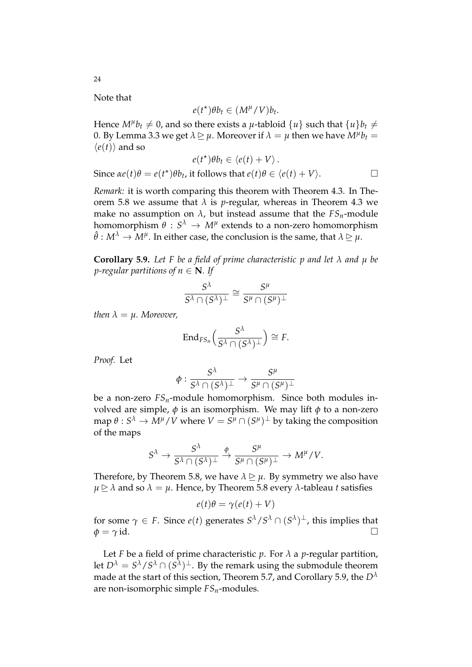Note that

$$
e(t^*)\theta b_t \in (M^\mu/V)b_t.
$$

Hence  $M^{\mu}b_{t}\neq 0$ , and so there exists a  $\mu$ -tabloid  $\{u\}$  such that  $\{u\}b_{t}\neq 0$ 0. By Lemma 3.3 we get  $\lambda \trianglerighteq \mu$ . Moreover if  $\lambda = \mu$  then we have  $M^{\mu}b_{t} =$  $\langle e(t) \rangle$  and so

$$
e(t^*)\theta b_t \in \langle e(t) + V \rangle.
$$
  
Since  $\alpha e(t)\theta = e(t^*)\theta b_t$ , it follows that  $e(t)\theta \in \langle e(t) + V \rangle$ .

*Remark:* it is worth comparing this theorem with Theorem 4.3. In Theorem 5.8 we assume that  $\lambda$  is *p*-regular, whereas in Theorem 4.3 we make no assumption on  $\lambda$ , but instead assume that the  $FS_n$ -module homomorphism  $\theta\,:\,\mathit{S}^{\lambda}\,\rightarrow\,M^{\mu}$  extends to a non-zero homomorphism  $\hat{\theta}: M^{\lambda} \to M^{\mu}.$  In either case, the conclusion is the same, that  $\lambda \trianglerighteq \mu.$ 

**Corollary 5.9.** *Let F be a field of prime characteristic p and let λ and µ be p*-regular partitions of  $n \in \mathbb{N}$ *. If* 

$$
\frac{S^{\lambda}}{S^{\lambda} \cap (S^{\lambda})^{\perp}} \cong \frac{S^{\mu}}{S^{\mu} \cap (S^{\mu})^{\perp}}
$$

*then*  $\lambda = \mu$ *. Moreover,* 

$$
\mathrm{End}_{FS_n}\Big(\frac{S^{\lambda}}{S^{\lambda} \cap (S^{\lambda})^{\perp}}\Big) \cong F.
$$

*Proof.* Let

$$
\phi: \frac{S^\lambda}{S^\lambda\cap (S^\lambda)^\perp}\to \frac{S^\mu}{S^\mu\cap (S^\mu)^\perp}
$$

be a non-zero  $FS_n$ -module homomorphism. Since both modules involved are simple,  $\phi$  is an isomorphism. We may lift  $\phi$  to a non-zero  $\dim \theta: S^\lambda \to \bar{M}^\mu / V$  where  $V = \bar{S^\mu} \cap (S^\mu)^\perp$  by taking the composition of the maps

$$
S^\lambda \to \frac{S^\lambda}{S^\lambda \cap (S^\lambda)^\perp} \overset{\varphi}{\to} \frac{S^\mu}{S^\mu \cap (S^\mu)^\perp} \to M^\mu/V.
$$

Therefore, by Theorem 5.8, we have  $\lambda \geq \mu$ . By symmetry we also have  $\mu \ge \lambda$  and so  $\lambda = \mu$ . Hence, by Theorem 5.8 every  $\lambda$ -tableau *t* satisfies

$$
e(t)\theta = \gamma(e(t) + V)
$$

for some  $\gamma \in F$ . Since  $e(t)$  generates  $S^{\lambda}/S^{\lambda} \cap (S^{\lambda})^{\perp}$ , this implies that  $\phi = \gamma$  id.

Let *F* be a field of prime characteristic  $p$ . For  $\lambda$  a  $p$ -regular partition, let  $D^{\lambda} = S^{\lambda} / S^{\lambda} \cap (S^{\overline{\lambda}})^{\perp}$ . By the remark using the submodule theorem made at the start of this section, Theorem 5.7, and Corollary 5.9, the *D<sup>λ</sup>* are non-isomorphic simple *FSn*-modules.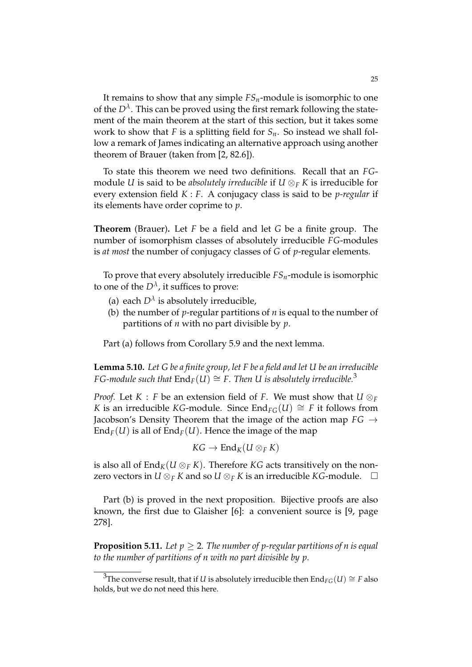It remains to show that any simple *FSn*-module is isomorphic to one of the  $D^{\lambda}$ . This can be proved using the first remark following the statement of the main theorem at the start of this section, but it takes some work to show that *F* is a splitting field for *Sn*. So instead we shall follow a remark of James indicating an alternative approach using another theorem of Brauer (taken from [2, 82.6]).

To state this theorem we need two definitions. Recall that an *FG*module *U* is said to be *absolutely irreducible* if  $U \otimes_F K$  is irreducible for every extension field *K* : *F*. A conjugacy class is said to be *p-regular* if its elements have order coprime to *p*.

**Theorem** (Brauer)**.** Let *F* be a field and let *G* be a finite group. The number of isomorphism classes of absolutely irreducible *FG*-modules is *at most* the number of conjugacy classes of *G* of *p*-regular elements.

To prove that every absolutely irreducible *FSn*-module is isomorphic to one of the  $D^{\lambda}$ , it suffices to prove:

- (a) each  $D^{\lambda}$  is absolutely irreducible,
- (b) the number of *p*-regular partitions of *n* is equal to the number of partitions of *n* with no part divisible by *p*.

Part (a) follows from Corollary 5.9 and the next lemma.

**Lemma 5.10.** *Let G be a finite group, let F be a field and let U be an irreducible FG-module such that*  $\text{End}_F(U) \cong F$ . Then U is absolutely irreducible.<sup>3</sup>

*Proof.* Let *K* : *F* be an extension field of *F*. We must show that  $U \otimes_F$ *K* is an irreducible *KG*-module. Since  $\text{End}_{FG}(U) \cong F$  it follows from Jacobson's Density Theorem that the image of the action map *FG* →  $\text{End}_{F}(U)$  is all of  $\text{End}_{F}(U)$ . Hence the image of the map

$$
KG \to \operatorname{End}_K(U \otimes_F K)
$$

is also all of  $\text{End}_K(U \otimes_F K)$ . Therefore *KG* acts transitively on the nonzero vectors in *U*  $\otimes$ *F K* and so *U*  $\otimes$ *F K* is an irreducible *KG*-module.  $\Box$ 

Part (b) is proved in the next proposition. Bijective proofs are also known, the first due to Glaisher [6]: a convenient source is [9, page 278].

**Proposition 5.11.** Let  $p \geq 2$ . The number of p-regular partitions of *n* is equal *to the number of partitions of n with no part divisible by p.*

<sup>&</sup>lt;sup>3</sup>The converse result, that if *U* is absolutely irreducible then  $\text{End}_{FG}(U) \cong F$  also holds, but we do not need this here.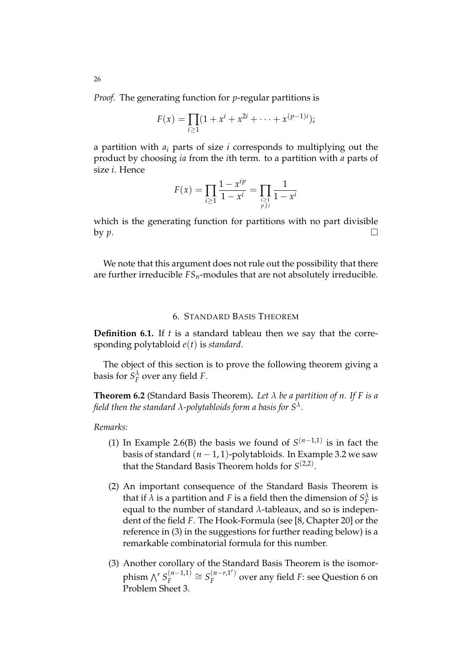*Proof.* The generating function for *p*-regular partitions is

$$
F(x) = \prod_{i \ge 1} (1 + x^{i} + x^{2i} + \dots + x^{(p-1)i});
$$

a partition with *a<sup>i</sup>* parts of size *i* corresponds to multiplying out the product by choosing *ia* from the *i*th term. to a partition with *a* parts of size *i*. Hence

$$
F(x) = \prod_{i \ge 1} \frac{1 - x^{ip}}{1 - x^i} = \prod_{\substack{i \ge 1 \\ p \nmid i}} \frac{1}{1 - x^i}
$$

which is the generating function for partitions with no part divisible by  $p$ .

We note that this argument does not rule out the possibility that there are further irreducible  $FS_n$ -modules that are not absolutely irreducible.

## 6. STANDARD BASIS THEOREM

**Definition 6.1.** If *t* is a standard tableau then we say that the corresponding polytabloid *e*(*t*) is *standard*.

The object of this section is to prove the following theorem giving a basis for  $S_F^{\lambda}$  over any field *F*.

**Theorem 6.2** (Standard Basis Theorem)**.** *Let λ be a partition of n. If F is a field then the standard λ-polytabloids form a basis for S<sup>λ</sup> .*

#### *Remarks:*

- (1) In Example 2.6(B) the basis we found of  $S^{(n-1,1)}$  is in fact the basis of standard  $(n - 1, 1)$ -polytabloids. In Example 3.2 we saw that the Standard Basis Theorem holds for  $S^{(2,2)}$ .
- (2) An important consequence of the Standard Basis Theorem is that if  $\lambda$  is a partition and *F* is a field then the dimension of  $S_F^{\lambda}$  is equal to the number of standard *λ*-tableaux, and so is independent of the field *F*. The Hook-Formula (see [8, Chapter 20] or the reference in (3) in the suggestions for further reading below) is a remarkable combinatorial formula for this number.
- (3) Another corollary of the Standard Basis Theorem is the isomorphism  $\bigwedge^r S_F^{(n-1,1)}$  $S_F^{(n-1,1)} \cong S_F^{(n-r,1^r)}$  $F_F^{(n-r,1)}$  over any field *F*: see Question 6 on Problem Sheet 3.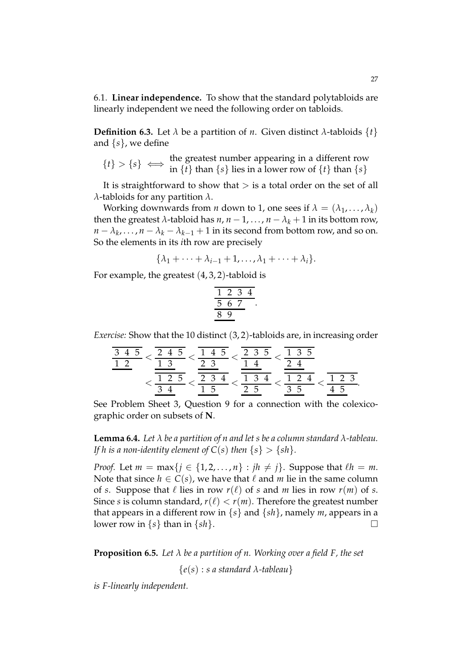6.1. **Linear independence.** To show that the standard polytabloids are linearly independent we need the following order on tabloids.

**Definition 6.3.** Let  $\lambda$  be a partition of *n*. Given distinct  $\lambda$ -tabloids  $\{t\}$ and {*s*}, we define

$$
\{t\} > \{s\} \iff \text{the greatest number appearing in a different row} \{t\} > \{s\} \iff \inf \{t\} \text{ than } \{s\} \text{ lies in a lower row of } \{t\} \text{ than } \{s\}
$$

It is straightforward to show that  $>$  is a total order on the set of all *λ*-tabloids for any partition *λ*.

Working downwards from *n* down to 1, one sees if  $\lambda = (\lambda_1, \ldots, \lambda_k)$ then the greatest  $\lambda$ -tabloid has  $n, n-1, ..., n-\lambda_k+1$  in its bottom row,  $n - \lambda_k, \ldots, n - \lambda_k - \lambda_{k-1} + 1$  in its second from bottom row, and so on. So the elements in its *i*th row are precisely

$$
\{\lambda_1+\cdots+\lambda_{i-1}+1,\ldots,\lambda_1+\cdots+\lambda_i\}.
$$

For example, the greatest  $(4, 3, 2)$ -tabloid is

$$
\begin{array}{@{}c@{\hspace{1em}}c@{\hspace{1em}}}\n 1 & 2 & 3 & 4 \\
\hline\n 5 & 6 & 7 \\
\hline\n 8 & 9\n \end{array}
$$

.

*Exercise:* Show that the 10 distinct (3, 2)-tabloids are, in increasing order

$$
\frac{\frac{3}{3} \frac{4}{5}}{1 \frac{2}{12}} < \frac{\frac{2}{1} \frac{4}{1} \frac{5}{5}}{1 \frac{2}{1} \frac{3}{1}} < \frac{\frac{2}{1} \frac{3}{1} \frac{5}{1}}{\frac{2}{1} \frac{3}{1} \frac{4}{1}} < \frac{\frac{1}{1} \frac{3}{1} \frac{5}{1}}{\frac{1}{1} \frac{3}{1} \frac{4}{1}} < \frac{\frac{1}{1} \frac{3}{1} \frac{5}{1}}{\frac{1}{1} \frac{2}{1} \frac{4}{1}} < \frac{\frac{1}{1} \frac{2}{1} \frac{3}{1}}{\frac{1}{1} \frac{5}{1}} < \frac{\frac{1}{1} \frac{3}{1} \frac{4}{1}}{\frac{1}{1} \frac{5}{1}} < \frac{\frac{1}{1} \frac{2}{1} \frac{3}{1}}{\frac{1}{1} \frac{5}{1}} < \frac{\frac{1}{1} \frac{2}{1} \frac{3}{1}}{\frac{1}{1} \frac{5}{1}} < \frac{\frac{1}{1} \frac{3}{1} \frac{5}{1}}{\frac{1}{1} \frac{5}{1}} < \frac{\frac{1}{1} \frac{3}{1} \frac{5}{1}}{\frac{1}{1} \frac{5}{1}} < \frac{\frac{1}{1} \frac{3}{1} \frac{5}{1}}{\frac{1}{1} \frac{5}{1}} < \frac{\frac{1}{1} \frac{3}{1} \frac{5}{1}}{\frac{1}{1} \frac{5}{1}} < \frac{\frac{1}{1} \frac{3}{1} \frac{5}{1}}{\frac{1}{1} \frac{5}{1}} < \frac{\frac{1}{1} \frac{3}{1} \frac{5}{1}}{\frac{1}{1} \frac{5}{1}} < \frac{\frac{1}{1} \frac{3}{1} \frac{5}{1}}{\frac{1}{1} \frac{5}{1}} < \frac{\frac{1}{1} \frac{3}{1} \frac{5}{1}}{\frac{1}{1} \frac{5}{1}} < \frac{\frac{1}{1} \frac{3}{1} \frac{5}{1}}{\frac{1}{1} \frac{5}{1}} < \frac{\frac{1}{1} \frac{3}{1} \frac{5}{1}}{\frac{1}{
$$

See Problem Sheet 3, Question 9 for a connection with the colexicographic order on subsets of **N**.

**Lemma 6.4.** *Let λ be a partition of n and let s be a column standard λ-tableau. If h is a non-identity element of*  $C(s)$  *then*  $\{s\} > \{sh\}$ *.* 

*Proof.* Let  $m = \max\{j \in \{1, 2, ..., n\} : jh \neq j\}$ . Suppose that  $\ell h = m$ . Note that since  $h \in C(s)$ , we have that  $\ell$  and  $m$  lie in the same column of *s*. Suppose that  $\ell$  lies in row  $r(\ell)$  of *s* and *m* lies in row  $r(m)$  of *s*. Since *s* is column standard,  $r(\ell) < r(m)$ . Therefore the greatest number that appears in a different row in  $\{s\}$  and  $\{sh\}$ , namely *m*, appears in a lower row in  $\{s\}$  than in  $\{sh\}$ .

**Proposition 6.5.** *Let λ be a partition of n. Working over a field F, the set*

{*e*(*s*) : *s a standard λ-tableau*}

*is F-linearly independent.*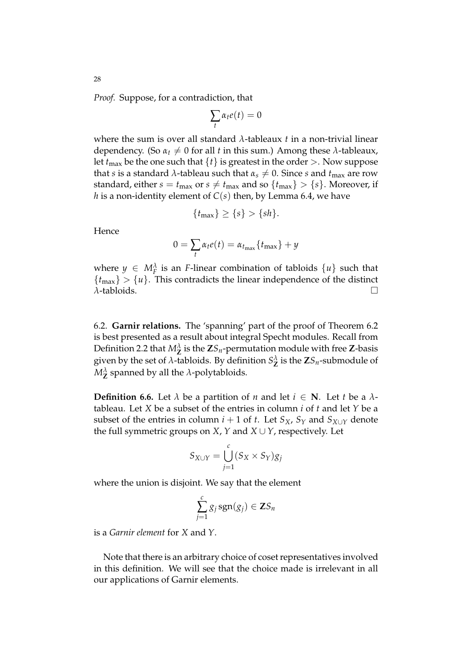*Proof.* Suppose, for a contradiction, that

$$
\sum_t \alpha_t e(t) = 0
$$

where the sum is over all standard *λ*-tableaux *t* in a non-trivial linear dependency. (So  $\alpha_t \neq 0$  for all *t* in this sum.) Among these  $\lambda$ -tableaux, let  $t_{\text{max}}$  be the one such that  $\{t\}$  is greatest in the order  $>$ . Now suppose that *s* is a standard  $\lambda$ -tableau such that  $\alpha_s \neq 0$ . Since *s* and  $t_{\text{max}}$  are row standard, either  $s = t_{\text{max}}$  or  $s \neq t_{\text{max}}$  and so  $\{t_{\text{max}}\} > \{s\}$ . Moreover, if *h* is a non-identity element of  $C(s)$  then, by Lemma 6.4, we have

$$
\{t_{\max}\} \ge \{s\} > \{sh\}.
$$

Hence

$$
0 = \sum_{t} \alpha_t e(t) = \alpha_{t_{\text{max}}} \{ t_{\text{max}} \} + y
$$

where  $y \in M_F^{\lambda}$  is an *F*-linear combination of tabloids  $\{u\}$  such that  ${t_{\text{max}}} > {u}$ . This contradicts the linear independence of the distinct *λ*-tabloids.

6.2. **Garnir relations.** The 'spanning' part of the proof of Theorem 6.2 is best presented as a result about integral Specht modules. Recall from Definition 2.2 that  $M^{\lambda}_{\mathbf{Z}}$  is the  $\mathbf{Z}S_n$ -permutation module with free  $\mathbf{Z}$ -basis given by the set of  $\lambda$ -tabloids. By definition  $S^{\lambda}_{\mathbf{Z}}$  is the  $\mathbf{Z}S_n$ -submodule of  $M_{\mathbf{Z}}^{\lambda}$  spanned by all the  $\lambda$ -polytabloids.

**Definition 6.6.** Let  $\lambda$  be a partition of *n* and let  $i \in \mathbb{N}$ . Let *t* be a  $\lambda$ tableau. Let *X* be a subset of the entries in column *i* of *t* and let *Y* be a subset of the entries in column  $i + 1$  of  $t$ . Let  $S_X$ ,  $S_Y$  and  $S_{X \cup Y}$  denote the full symmetric groups on *X*, *Y* and *X*  $\cup$  *Y*, respectively. Let

$$
S_{X\cup Y} = \bigcup_{j=1}^c (S_X \times S_Y)g_j
$$

where the union is disjoint. We say that the element

$$
\sum_{j=1}^c g_j \operatorname{sgn}(g_j) \in \mathbf{Z} S_n
$$

is a *Garnir element* for *X* and *Y*.

Note that there is an arbitrary choice of coset representatives involved in this definition. We will see that the choice made is irrelevant in all our applications of Garnir elements.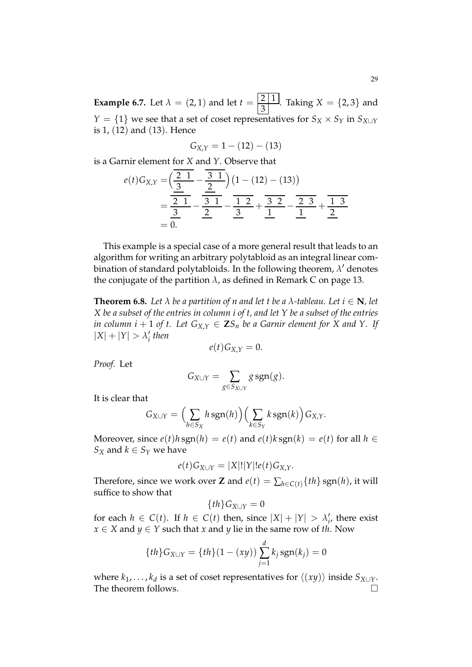**Example 6.7.** Let  $\lambda = (2, 1)$  and let  $t = \frac{2 \cdot 1}{3}$  $\frac{2}{3}$ . Taking *X* = {2,3} and *Y* = {1} we see that a set of coset representatives for  $S_X \times S_Y$  in  $S_{X \cup Y}$ is 1, (12) and (13). Hence

$$
G_{X,Y} = 1 - (12) - (13)
$$

is a Garnir element for *X* and *Y*. Observe that

$$
e(t)G_{X,Y} = \left(\frac{\frac{2}{3} - \frac{3}{3}}{\frac{2}{3} - \frac{3}{3}}\right)\left(1 - (12) - (13)\right)
$$
  
= 
$$
\frac{\frac{2}{3} - \frac{3}{3} - \frac{1}{3}}{\frac{2}{3} - \frac{1}{3}} = \frac{\frac{2}{3} - \frac{1}{3}}{\frac{1}{3} - \frac{1}{3}} = \frac{\frac{2}{3} - \frac{1}{3}}{\frac{1}{3} - \frac{1}{3}} = \frac{\frac{1}{3} - \frac{1}{3}}{\frac{1}{3} - \frac{1}{3}} = \frac{\frac{1}{3} - \frac{1}{3}}{\frac{1}{3} - \frac{1}{3}} = \frac{\frac{1}{3} - \frac{1}{3}}{\frac{1}{3} - \frac{1}{3}} = \frac{\frac{1}{3} - \frac{1}{3}}{\frac{1}{3} - \frac{1}{3}} = \frac{\frac{1}{3} - \frac{1}{3}}{\frac{1}{3} - \frac{1}{3}} = \frac{\frac{1}{3} - \frac{1}{3}}{\frac{1}{3} - \frac{1}{3}} = \frac{\frac{1}{3} - \frac{1}{3}}{\frac{1}{3} - \frac{1}{3}} = \frac{\frac{1}{3} - \frac{1}{3}}{\frac{1}{3} - \frac{1}{3}} = \frac{\frac{1}{3} - \frac{1}{3}}{\frac{1}{3} - \frac{1}{3}} = \frac{\frac{1}{3} - \frac{1}{3}}{\frac{1}{3} - \frac{1}{3}} = \frac{\frac{1}{3} - \frac{1}{3}}{\frac{1}{3} - \frac{1}{3}} = \frac{\frac{1}{3} - \frac{1}{3}}{\frac{1}{3} - \frac{1}{3}} = \frac{\frac{1}{3} - \frac{1}{3}}{\frac{1}{3} - \frac{1}{3}} = \frac{\frac{1}{3} - \frac{1}{3}}{\frac{1}{3} - \frac{1}{3}} = \frac{\frac{1}{3} - \frac{1}{3}}{\frac{1}{3} - \frac{1}{3}} = \frac{\frac{1}{3} - \frac{1}{3}}{\frac{1}{3} - \frac{1}{3}} = \frac{\frac{1}{3} - \frac{1}{3}}{\frac{1}{3} - \frac{1}{3}} = \frac{\frac{1}{3} - \frac{1}{3}}{\frac{1
$$

This example is a special case of a more general result that leads to an algorithm for writing an arbitrary polytabloid as an integral linear combination of standard polytabloids. In the following theorem,  $\lambda'$  denotes the conjugate of the partition  $\lambda$ , as defined in Remark C on page 13.

**Theorem 6.8.** *Let*  $\lambda$  *be a partition of n and let t be a*  $\lambda$ *-tableau. Let*  $i \in \mathbb{N}$ *, let X be a subset of the entries in column i of t, and let Y be a subset of the entries in column i* + 1 *of t.* Let  $G_{X,Y} \in \mathbf{Z}S_n$  be a Garnir element for X and Y. If  $|X| + |Y| > \lambda_i'$ *i then*

$$
e(t)G_{X,Y}=0.
$$

*Proof.* Let

$$
G_{X\cup Y}=\sum_{g\in S_{X\cup Y}}g\, \text{sgn}(g).
$$

It is clear that

$$
G_{X\cup Y} = \left(\sum_{h\in S_X} h \operatorname{sgn}(h)\right) \left(\sum_{k\in S_Y} k \operatorname{sgn}(k)\right) G_{X,Y}.
$$

Moreover, since  $e(t)h \text{sgn}(h) = e(t)$  and  $e(t)k \text{sgn}(k) = e(t)$  for all  $h \in$ *S*<sup>*X*</sup> and *k*  $\in$  *S*<sup>*Y*</sup> we have

$$
e(t)G_{X\cup Y}=|X|!|Y|!e(t)G_{X,Y}.
$$

Therefore, since we work over **Z** and  $e(t) = \sum_{h \in C(t)} \{th\}$  sgn(*h*), it will suffice to show that

$$
\{th\}G_{X\cup Y}=0
$$

for each  $h \in C(t)$ . If  $h \in C(t)$  then, since  $|X| + |Y| > \lambda$ <sup>2</sup>  $\mathbf{r}'_i$ , there exist *x* ∈ *X* and *y* ∈ *Y* such that *x* and *y* lie in the same row of *th*. Now

$$
\{th\}G_{X\cup Y} = \{th\}(1 - (xy))\sum_{j=1}^{d} k_j \operatorname{sgn}(k_j) = 0
$$

where  $k_1, \ldots, k_d$  is a set of coset representatives for  $\langle (xy) \rangle$  inside  $S_{X \cup Y}$ . The theorem follows.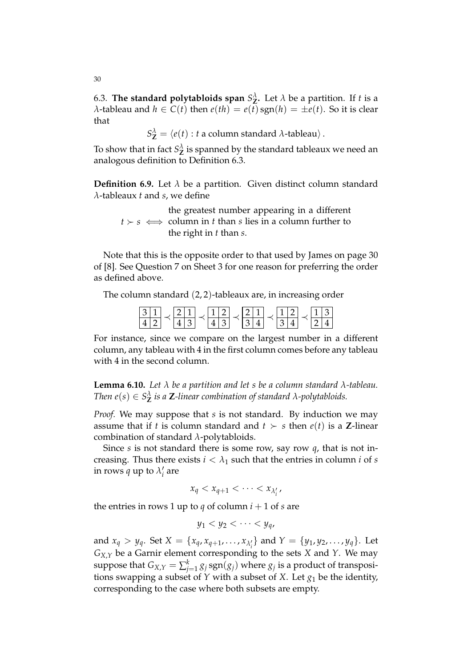6.3. **The standard polytabloids span**  $S^{\lambda}_{Z}$ . Let  $\lambda$  be a partition. If *t* is a *λ*-tableau and  $h \in C(t)$  then  $e(th) = e(t)$  sgn( $h$ ) =  $\pm e(t)$ . So it is clear that

 $S^{\lambda}_{\mathbf{Z}} = \langle e(t) : t \text{ a column standard } \lambda \text{-tableau} \rangle.$ 

To show that in fact  $S^{\lambda}_{\mathbf{Z}}$  is spanned by the standard tableaux we need an analogous definition to Definition 6.3.

**Definition 6.9.** Let  $\lambda$  be a partition. Given distinct column standard *λ*-tableaux *t* and *s*, we define

 $t \succ s \iff$  column in *t* than *s* lies in a column further to the greatest number appearing in a different the right in *t* than *s*.

Note that this is the opposite order to that used by James on page 30 of [8]. See Question 7 on Sheet 3 for one reason for preferring the order as defined above.

The column standard (2, 2)-tableaux are, in increasing order

For instance, since we compare on the largest number in a different column, any tableau with 4 in the first column comes before any tableau with 4 in the second column.

**Lemma 6.10.** *Let λ be a partition and let s be a column standard λ-tableau. Then e*(*s*)  $\in S^{\lambda}_{\mathbf{Z}}$  *is a*  $\mathbf{Z}$ *-linear combination of standard*  $\lambda$ *-polytabloids.* 

*Proof.* We may suppose that *s* is not standard. By induction we may assume that if *t* is column standard and  $t > s$  then  $e(t)$  is a **Z**-linear combination of standard *λ*-polytabloids.

Since *s* is not standard there is some row, say row *q*, that is not increasing. Thus there exists  $i < \lambda_1$  such that the entries in column *i* of *s* in rows  $q$  up to  $\lambda_i'$ *i* are

$$
x_q < x_{q+1} < \cdots < x_{\lambda'_i},
$$

the entries in rows 1 up to *q* of column  $i + 1$  of *s* are

$$
y_1 < y_2 < \cdots < y_q
$$

and  $x_q > y_q$ . Set  $X = \{x_q, x_{q+1}, \ldots, x_{\lambda'_i}\}$  and  $Y = \{y_1, y_2, \ldots, y_q\}$ . Let  $G_{X,Y}$  be a Garnir element corresponding to the sets *X* and *Y*. We may suppose that  $G_{X,Y} = \sum_{j=1}^k g_j \, \text{sgn}(g_j)$  where  $g_j$  is a product of transpositions swapping a subset of  $\hat{Y}$  with a subset of  $X$ . Let  $g_1$  be the identity, corresponding to the case where both subsets are empty.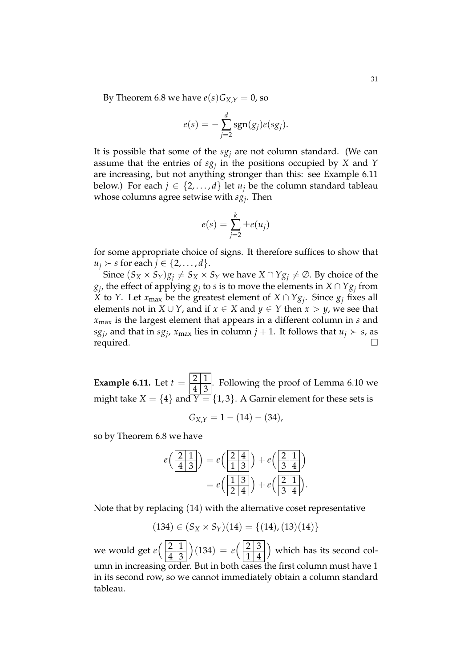By Theorem 6.8 we have  $e(s)G_{X,Y} = 0$ , so

$$
e(s) = -\sum_{j=2}^d \operatorname{sgn}(g_j) e(sg_j).
$$

It is possible that some of the  $sg<sub>i</sub>$  are not column standard. (We can assume that the entries of *sg<sup>j</sup>* in the positions occupied by *X* and *Y* are increasing, but not anything stronger than this: see Example 6.11 below.) For each  $j \in \{2, ..., d\}$  let  $u_j$  be the column standard tableau whose columns agree setwise with *sg<sup>j</sup>* . Then

$$
e(s) = \sum_{j=2}^{k} \pm e(u_j)
$$

for some appropriate choice of signs. It therefore suffices to show that  $u_i \succ s$  for each  $j \in \{2, \ldots, d\}.$ 

Since  $(S_X \times S_Y)g_j \neq S_X \times S_Y$  we have  $X \cap Yg_j \neq \emptyset$ . By choice of the  $g_j$ , the effect of applying  $g_j$  to *s* is to move the elements in  $X \cap Yg_j$  from *X* to *Y*. Let  $x_{\text{max}}$  be the greatest element of  $X \cap Yg_j$ . Since  $g_j$  fixes all elements not in *X* ∪ *Y*, and if *x*  $\in$  *X* and *y*  $\in$  *Y* then *x* > *y*, we see that *x*max is the largest element that appears in a different column in *s* and  $sg_j$ , and that in  $sg_j$ ,  $x_{\text{max}}$  lies in column  $j + 1$ . It follows that  $u_j \succ s$ , as  $\Box$  required.  $\Box$ 

**Example 6.11.** Let  $t = \frac{2 \times 1}{4 \times 2}$  $\frac{2}{4}$ . Following the proof of Lemma 6.10 we might take *X* = {4} and  $\overline{Y}$  = {1,3}. A Garnir element for these sets is

$$
G_{X,Y} = 1 - (14) - (34),
$$

so by Theorem 6.8 we have

$$
e\left(\frac{21}{413}\right) = e\left(\frac{24}{13}\right) + e\left(\frac{21}{34}\right)
$$

$$
= e\left(\frac{13}{24}\right) + e\left(\frac{21}{34}\right).
$$

Note that by replacing (14) with the alternative coset representative

$$
(134) \in (S_X \times S_Y)(14) = \{(14), (13)(14)\}
$$

we would get  $e\left(\frac{2}{12}\right)$  $4 \mid 3$  $(134) = e^{\frac{23}{3}}$  $1 \mid 4$  which has its second column in increasing order. But in both cases the first column must have 1 in its second row, so we cannot immediately obtain a column standard tableau.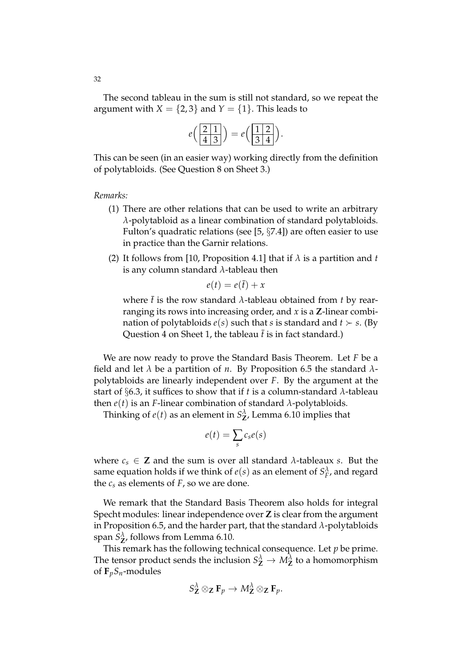The second tableau in the sum is still not standard, so we repeat the argument with  $X = \{2, 3\}$  and  $Y = \{1\}$ . This leads to

$$
e\left(\frac{2\mid1}{4\mid3}\right) = e\left(\frac{1\mid2}{3\mid4}\right).
$$

This can be seen (in an easier way) working directly from the definition of polytabloids. (See Question 8 on Sheet 3.)

*Remarks:*

- (1) There are other relations that can be used to write an arbitrary *λ*-polytabloid as a linear combination of standard polytabloids. Fulton's quadratic relations (see [5, §7.4]) are often easier to use in practice than the Garnir relations.
- (2) It follows from [10, Proposition 4.1] that if  $\lambda$  is a partition and *t* is any column standard *λ*-tableau then

$$
e(t) = e(\bar{t}) + x
$$

where  $\bar{t}$  is the row standard  $\lambda$ -tableau obtained from *t* by rearranging its rows into increasing order, and *x* is a **Z**-linear combination of polytabloids  $e(s)$  such that *s* is standard and  $t \succ s$ . (By Question 4 on Sheet 1, the tableau  $\bar{t}$  is in fact standard.)

We are now ready to prove the Standard Basis Theorem. Let *F* be a field and let *λ* be a partition of *n*. By Proposition 6.5 the standard *λ*polytabloids are linearly independent over *F*. By the argument at the start of §6.3, it suffices to show that if *t* is a column-standard  $\lambda$ -tableau then *e*(*t*) is an *F*-linear combination of standard *λ*-polytabloids.

Thinking of  $e(t)$  as an element in  $S_{\mathbf{Z}}^{\lambda}$ , Lemma 6.10 implies that

$$
e(t) = \sum_{s} c_s e(s)
$$

where  $c_s \in \mathbb{Z}$  and the sum is over all standard  $\lambda$ -tableaux *s*. But the same equation holds if we think of  $e(s)$  as an element of  $S_F^{\lambda}$ , and regard the  $c_s$  as elements of  $F$ , so we are done.

We remark that the Standard Basis Theorem also holds for integral Specht modules: linear independence over **Z** is clear from the argument in Proposition 6.5, and the harder part, that the standard *λ*-polytabloids span  $S^{\lambda}_{\mathbf{Z}}$ , follows from Lemma 6.10.

This remark has the following technical consequence. Let *p* be prime. The tensor product sends the inclusion  $S^{\lambda}_{\mathbf{Z}} \to M^{\lambda}_{\mathbf{Z}}$  to a homomorphism of  $\mathbf{F}_p S_n$ -modules

$$
S^{\lambda}_{\mathbf{Z}} \otimes_{\mathbf{Z}} \mathbf{F}_p \to M^{\lambda}_{\mathbf{Z}} \otimes_{\mathbf{Z}} \mathbf{F}_p.
$$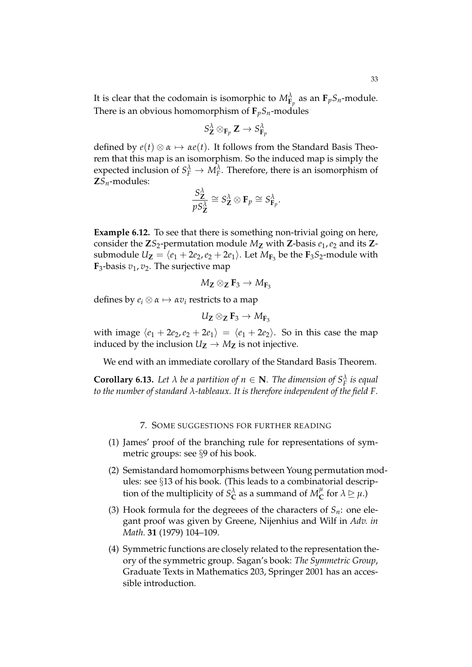It is clear that the codomain is isomorphic to  $M^{\lambda}_{\mathbf{F}_p}$  as an  $\mathbf{F}_p S_n$ -module. There is an obvious homomorphism of  $\mathbf{F}_p S_n$ -modules

$$
S^{\lambda}_\mathbf{Z}\otimes_{\mathbf{F}_p}\mathbf{Z}\to S^{\lambda}_{\mathbf{F}_p}
$$

defined by  $e(t) \otimes \alpha \mapsto \alpha e(t)$ . It follows from the Standard Basis Theorem that this map is an isomorphism. So the induced map is simply the expected inclusion of  $S_F^{\lambda} \to M_F^{\lambda}$ . Therefore, there is an isomorphism of **Z***Sn*-modules:

$$
\frac{S_{\mathbf{Z}}^{\lambda}}{pS_{\mathbf{Z}}^{\lambda}} \cong S_{\mathbf{Z}}^{\lambda} \otimes \mathbf{F}_p \cong S_{\mathbf{F}_p}^{\lambda}.
$$

**Example 6.12.** To see that there is something non-trivial going on here, consider the  $\mathbb{Z}S_2$ -permutation module  $M_{\mathbb{Z}}$  with  $\mathbb{Z}$ -basis  $e_1, e_2$  and its  $\mathbb{Z}$ submodule  $U_{\mathbf{Z}} = \langle e_1 + 2e_2, e_2 + 2e_1 \rangle$ . Let  $M_{\mathbf{F}_3}$  be the  $\mathbf{F}_3 S_2$ -module with  $\mathbf{F}_3$ -basis  $v_1, v_2$ . The surjective map

$$
M_{\mathbf{Z}}\otimes_{\mathbf{Z}}\mathbf{F}_3\rightarrow M_{\mathbf{F}_3}
$$

defines by  $e_i \otimes \alpha \mapsto \alpha v_i$  restricts to a map

$$
U_{\text{\sf Z}}\otimes_{\text{\sf Z}}\text{\sf F}_3\to M_{\text{\sf F}_3}
$$

with image  $\langle e_1 + 2e_2, e_2 + 2e_1 \rangle = \langle e_1 + 2e_2 \rangle$ . So in this case the map induced by the inclusion  $U_Z \rightarrow M_Z$  is not injective.

We end with an immediate corollary of the Standard Basis Theorem.

**Corollary 6.13.** Let  $\lambda$  be a partition of  $n \in \mathbb{N}$ . The dimension of  $S_F^{\lambda}$  is equal *to the number of standard λ-tableaux. It is therefore independent of the field F.*

### 7. SOME SUGGESTIONS FOR FURTHER READING

- (1) James' proof of the branching rule for representations of symmetric groups: see §9 of his book.
- (2) Semistandard homomorphisms between Young permutation modules: see §13 of his book. (This leads to a combinatorial description of the multiplicity of  $S_{\mathbf{C}}^{\lambda}$  as a summand of  $M_{\mathbf{C}}^{\mu}$  $\sum_{i=1}^{\mu}$  for  $\lambda \geq \mu$ .)
- (3) Hook formula for the degreees of the characters of  $S_n$ : one elegant proof was given by Greene, Nijenhius and Wilf in *Adv. in Math.* **31** (1979) 104–109.
- (4) Symmetric functions are closely related to the representation theory of the symmetric group. Sagan's book: *The Symmetric Group*, Graduate Texts in Mathematics 203, Springer 2001 has an accessible introduction.